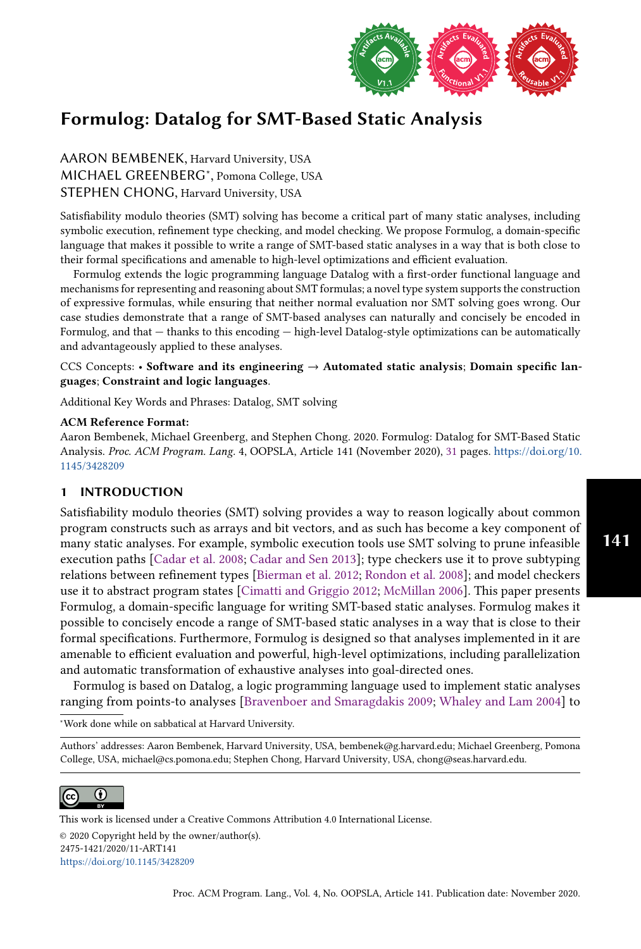

AARON BEMBENEK, Harvard University, USA MICHAEL GREENBERG<sup>∗</sup> , Pomona College, USA STEPHEN CHONG, Harvard University, USA

Satisfiability modulo theories (SMT) solving has become a critical part of many static analyses, including symbolic execution, refinement type checking, and model checking. We propose Formulog, a domain-specific language that makes it possible to write a range of SMT-based static analyses in a way that is both close to their formal specifications and amenable to high-level optimizations and efficient evaluation.

Formulog extends the logic programming language Datalog with a first-order functional language and mechanisms for representing and reasoning about SMT formulas; a novel type system supports the construction of expressive formulas, while ensuring that neither normal evaluation nor SMT solving goes wrong. Our case studies demonstrate that a range of SMT-based analyses can naturally and concisely be encoded in Formulog, and that  $-$  thanks to this encoding  $-$  high-level Datalog-style optimizations can be automatically and advantageously applied to these analyses.

# CCS Concepts: • Software and its engineering  $\rightarrow$  Automated static analysis; Domain specific languages; Constraint and logic languages.

Additional Key Words and Phrases: Datalog, SMT solving

#### ACM Reference Format:

Aaron Bembenek, Michael Greenberg, and Stephen Chong. 2020. Formulog: Datalog for SMT-Based Static Analysis. Proc. ACM Program. Lang. 4, OOPSLA, Article 141 (November 2020), [31](#page-30-0) pages. [https://doi.org/10.](https://doi.org/10.1145/3428209) [1145/3428209](https://doi.org/10.1145/3428209)

# 1 INTRODUCTION

Satisfiability modulo theories (SMT) solving provides a way to reason logically about common program constructs such as arrays and bit vectors, and as such has become a key component of many static analyses. For example, symbolic execution tools use SMT solving to prune infeasible execution paths [\[Cadar et al.](#page-27-0) [2008;](#page-27-0) [Cadar and Sen 2013\]](#page-27-1); type checkers use it to prove subtyping relations between refinement types [\[Bierman et al.](#page-27-2) [2012;](#page-27-2) [Rondon et al.](#page-29-0) [2008\]](#page-29-0); and model checkers use it to abstract program states [\[Cimatti and Griggio 2012;](#page-27-3) [McMillan 2006\]](#page-29-1). This paper presents Formulog, a domain-specific language for writing SMT-based static analyses. Formulog makes it possible to concisely encode a range of SMT-based static analyses in a way that is close to their formal specifications. Furthermore, Formulog is designed so that analyses implemented in it are amenable to efficient evaluation and powerful, high-level optimizations, including parallelization and automatic transformation of exhaustive analyses into goal-directed ones.

Formulog is based on Datalog, a logic programming language used to implement static analyses ranging from points-to analyses [\[Bravenboer and Smaragdakis 2009;](#page-27-4) [Whaley and Lam 2004\]](#page-30-1) to

<sup>∗</sup>Work done while on sabbatical at Harvard University.

Authors' addresses: Aaron Bembenek, Harvard University, USA, bembenek@g.harvard.edu; Michael Greenberg, Pomona College, USA, michael@cs.pomona.edu; Stephen Chong, Harvard University, USA, chong@seas.harvard.edu.



This work is licensed under a Creative Commons Attribution 4.0 International License. © 2020 Copyright held by the owner/author(s). 2475-1421/2020/11-ART141 <https://doi.org/10.1145/3428209>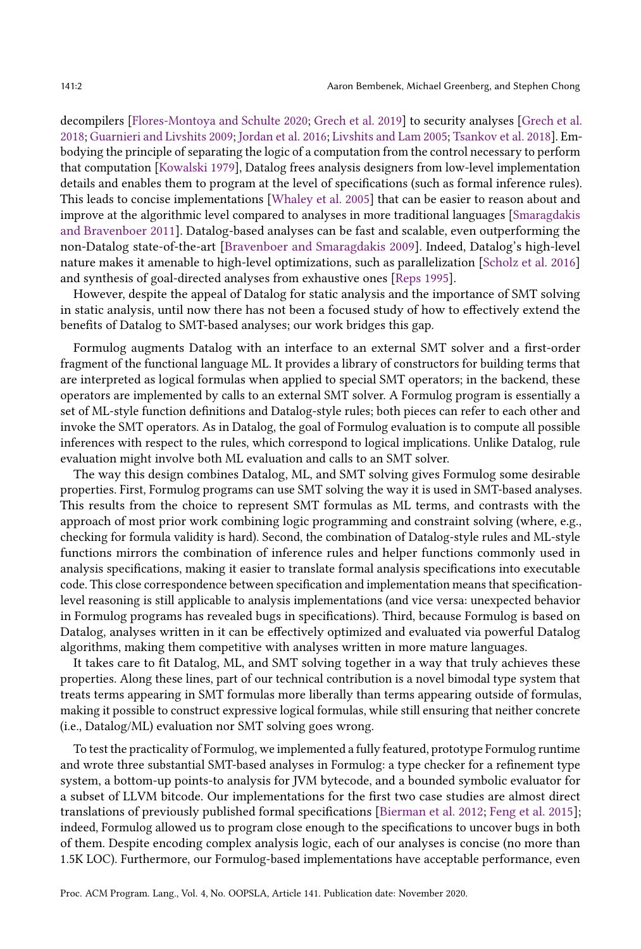decompilers [\[Flores-Montoya and Schulte 2020;](#page-28-0) [Grech et al.](#page-28-1) [2019\]](#page-28-1) to security analyses [\[Grech et al.](#page-28-2) [2018;](#page-28-2) [Guarnieri and Livshits 2009;](#page-28-3) [Jordan et al.](#page-29-2) [2016;](#page-29-2) [Livshits and Lam 2005;](#page-29-3) [Tsankov et al.](#page-30-2) [2018\]](#page-30-2). Embodying the principle of separating the logic of a computation from the control necessary to perform that computation [\[Kowalski 1979\]](#page-29-4), Datalog frees analysis designers from low-level implementation details and enables them to program at the level of specifications (such as formal inference rules). This leads to concise implementations [\[Whaley et al.](#page-30-3) [2005\]](#page-30-3) that can be easier to reason about and improve at the algorithmic level compared to analyses in more traditional languages [\[Smaragdakis](#page-29-5) [and Bravenboer 2011\]](#page-29-5). Datalog-based analyses can be fast and scalable, even outperforming the non-Datalog state-of-the-art [\[Bravenboer and Smaragdakis 2009\]](#page-27-4). Indeed, Datalog's high-level nature makes it amenable to high-level optimizations, such as parallelization [\[Scholz et al.](#page-29-6) [2016\]](#page-29-6) and synthesis of goal-directed analyses from exhaustive ones [\[Reps 1995\]](#page-29-7).

However, despite the appeal of Datalog for static analysis and the importance of SMT solving in static analysis, until now there has not been a focused study of how to effectively extend the benefits of Datalog to SMT-based analyses; our work bridges this gap.

Formulog augments Datalog with an interface to an external SMT solver and a first-order fragment of the functional language ML. It provides a library of constructors for building terms that are interpreted as logical formulas when applied to special SMT operators; in the backend, these operators are implemented by calls to an external SMT solver. A Formulog program is essentially a set of ML-style function definitions and Datalog-style rules; both pieces can refer to each other and invoke the SMT operators. As in Datalog, the goal of Formulog evaluation is to compute all possible inferences with respect to the rules, which correspond to logical implications. Unlike Datalog, rule evaluation might involve both ML evaluation and calls to an SMT solver.

The way this design combines Datalog, ML, and SMT solving gives Formulog some desirable properties. First, Formulog programs can use SMT solving the way it is used in SMT-based analyses. This results from the choice to represent SMT formulas as ML terms, and contrasts with the approach of most prior work combining logic programming and constraint solving (where, e.g., checking for formula validity is hard). Second, the combination of Datalog-style rules and ML-style functions mirrors the combination of inference rules and helper functions commonly used in analysis specifications, making it easier to translate formal analysis specifications into executable code. This close correspondence between specification and implementation means that specificationlevel reasoning is still applicable to analysis implementations (and vice versa: unexpected behavior in Formulog programs has revealed bugs in specifications). Third, because Formulog is based on Datalog, analyses written in it can be effectively optimized and evaluated via powerful Datalog algorithms, making them competitive with analyses written in more mature languages.

It takes care to fit Datalog, ML, and SMT solving together in a way that truly achieves these properties. Along these lines, part of our technical contribution is a novel bimodal type system that treats terms appearing in SMT formulas more liberally than terms appearing outside of formulas, making it possible to construct expressive logical formulas, while still ensuring that neither concrete (i.e., Datalog/ML) evaluation nor SMT solving goes wrong.

To test the practicality of Formulog, we implemented a fully featured, prototype Formulog runtime and wrote three substantial SMT-based analyses in Formulog: a type checker for a refinement type system, a bottom-up points-to analysis for JVM bytecode, and a bounded symbolic evaluator for a subset of LLVM bitcode. Our implementations for the first two case studies are almost direct translations of previously published formal specifications [\[Bierman et al.](#page-27-2) [2012;](#page-27-2) [Feng et al.](#page-28-4) [2015\]](#page-28-4); indeed, Formulog allowed us to program close enough to the specifications to uncover bugs in both of them. Despite encoding complex analysis logic, each of our analyses is concise (no more than 1.5K LOC). Furthermore, our Formulog-based implementations have acceptable performance, even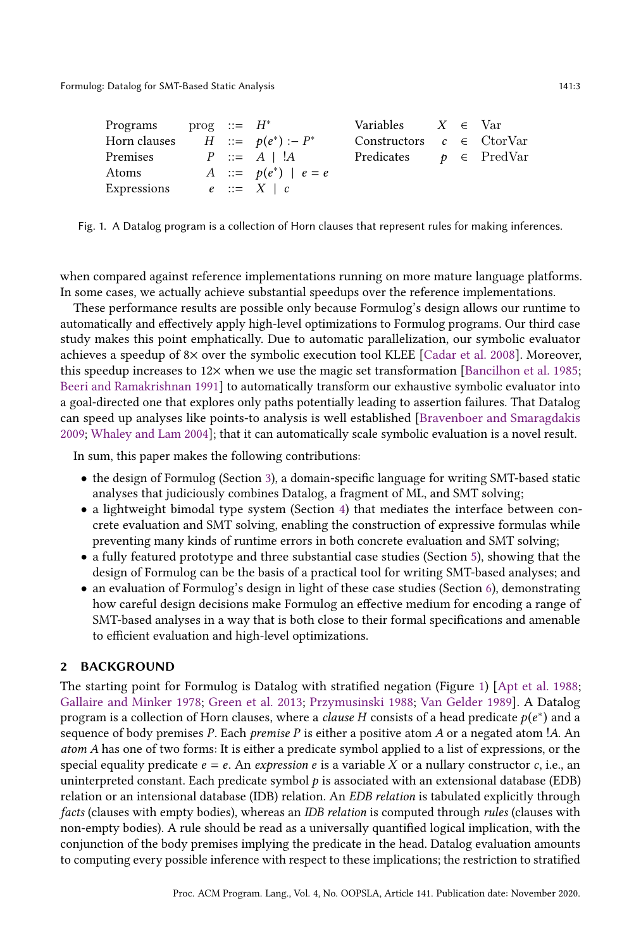<span id="page-2-0"></span>

| Programs $\text{prog} :: = H^*$ |  |                           | Variables $X \in \text{Var}$       |  |  |
|---------------------------------|--|---------------------------|------------------------------------|--|--|
| Horn clauses                    |  | $H$ ::= $p(e^*)$ :- $P^*$ | Constructors $c \in \text{CorVar}$ |  |  |
| Premises                        |  | $P \ ::= A \mid !A$       | Predicates $p \in \text{PredVar}$  |  |  |
| Atoms                           |  | A ::= $p(e^*)   e = e$    |                                    |  |  |
| Expressions                     |  | $e ::= X \mid c$          |                                    |  |  |

Fig. 1. A Datalog program is a collection of Horn clauses that represent rules for making inferences.

when compared against reference implementations running on more mature language platforms. In some cases, we actually achieve substantial speedups over the reference implementations.

These performance results are possible only because Formulog's design allows our runtime to automatically and effectively apply high-level optimizations to Formulog programs. Our third case study makes this point emphatically. Due to automatic parallelization, our symbolic evaluator achieves a speedup of 8× over the symbolic execution tool KLEE [\[Cadar et al.](#page-27-0) [2008\]](#page-27-0). Moreover, this speedup increases to  $12\times$  when we use the magic set transformation [\[Bancilhon et al.](#page-27-5) [1985;](#page-27-5) [Beeri and Ramakrishnan 1991\]](#page-27-6) to automatically transform our exhaustive symbolic evaluator into a goal-directed one that explores only paths potentially leading to assertion failures. That Datalog can speed up analyses like points-to analysis is well established [\[Bravenboer and Smaragdakis](#page-27-4) [2009;](#page-27-4) [Whaley and Lam 2004\]](#page-30-1); that it can automatically scale symbolic evaluation is a novel result.

In sum, this paper makes the following contributions:

- the design of Formulog (Section [3\)](#page-3-0), a domain-specific language for writing SMT-based static analyses that judiciously combines Datalog, a fragment of ML, and SMT solving;
- a lightweight bimodal type system (Section [4\)](#page-13-0) that mediates the interface between concrete evaluation and SMT solving, enabling the construction of expressive formulas while preventing many kinds of runtime errors in both concrete evaluation and SMT solving;
- a fully featured prototype and three substantial case studies (Section [5\)](#page-16-0), showing that the design of Formulog can be the basis of a practical tool for writing SMT-based analyses; and
- an evaluation of Formulog's design in light of these case studies (Section [6\)](#page-22-0), demonstrating how careful design decisions make Formulog an effective medium for encoding a range of SMT-based analyses in a way that is both close to their formal specifications and amenable to efficient evaluation and high-level optimizations.

## 2 BACKGROUND

The starting point for Formulog is Datalog with stratified negation (Figure [1\)](#page-2-0) [\[Apt et al.](#page-27-7) [1988;](#page-27-7) [Gallaire and Minker 1978;](#page-28-5) [Green et al.](#page-28-6) [2013;](#page-28-6) [Przymusinski 1988;](#page-29-8) [Van Gelder 1989\]](#page-30-4). A Datalog program is a collection of Horn clauses, where a *clause H* consists of a head predicate  $p(e^*)$  and a sequence of body premises  $P$ . Each *premise*  $P$  is either a positive atom  $A$  or a negated atom ! $A$ . An atom A has one of two forms: It is either a predicate symbol applied to a list of expressions, or the special equality predicate  $e = e$ . An expression e is a variable X or a nullary constructor c, i.e., an uninterpreted constant. Each predicate symbol  $p$  is associated with an extensional database (EDB) relation or an intensional database (IDB) relation. An EDB relation is tabulated explicitly through facts (clauses with empty bodies), whereas an IDB relation is computed through rules (clauses with non-empty bodies). A rule should be read as a universally quantified logical implication, with the conjunction of the body premises implying the predicate in the head. Datalog evaluation amounts to computing every possible inference with respect to these implications; the restriction to stratified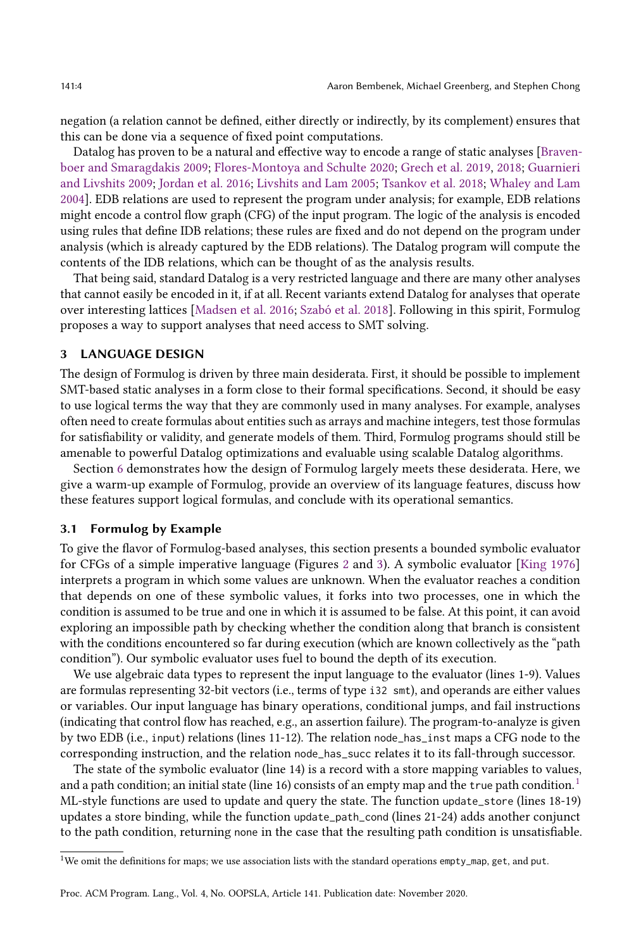negation (a relation cannot be defined, either directly or indirectly, by its complement) ensures that this can be done via a sequence of fixed point computations.

Datalog has proven to be a natural and effective way to encode a range of static analyses [\[Braven](#page-27-4)[boer and Smaragdakis 2009;](#page-27-4) [Flores-Montoya and Schulte 2020;](#page-28-0) [Grech et al.](#page-28-1) [2019,](#page-28-1) [2018;](#page-28-2) [Guarnieri](#page-28-3) [and Livshits 2009;](#page-28-3) [Jordan et al.](#page-29-2) [2016;](#page-29-2) [Livshits and Lam 2005;](#page-29-3) [Tsankov et al.](#page-30-2) [2018;](#page-30-2) [Whaley and Lam](#page-30-1) [2004\]](#page-30-1). EDB relations are used to represent the program under analysis; for example, EDB relations might encode a control flow graph (CFG) of the input program. The logic of the analysis is encoded using rules that define IDB relations; these rules are fixed and do not depend on the program under analysis (which is already captured by the EDB relations). The Datalog program will compute the contents of the IDB relations, which can be thought of as the analysis results.

That being said, standard Datalog is a very restricted language and there are many other analyses that cannot easily be encoded in it, if at all. Recent variants extend Datalog for analyses that operate over interesting lattices [\[Madsen et al.](#page-29-9) [2016;](#page-29-9) [Szabó et al.](#page-29-10) [2018\]](#page-29-10). Following in this spirit, Formulog proposes a way to support analyses that need access to SMT solving.

#### <span id="page-3-0"></span>3 LANGUAGE DESIGN

The design of Formulog is driven by three main desiderata. First, it should be possible to implement SMT-based static analyses in a form close to their formal specifications. Second, it should be easy to use logical terms the way that they are commonly used in many analyses. For example, analyses often need to create formulas about entities such as arrays and machine integers, test those formulas for satisfiability or validity, and generate models of them. Third, Formulog programs should still be amenable to powerful Datalog optimizations and evaluable using scalable Datalog algorithms.

Section [6](#page-22-0) demonstrates how the design of Formulog largely meets these desiderata. Here, we give a warm-up example of Formulog, provide an overview of its language features, discuss how these features support logical formulas, and conclude with its operational semantics.

#### 3.1 Formulog by Example

To give the flavor of Formulog-based analyses, this section presents a bounded symbolic evaluator for CFGs of a simple imperative language (Figures [2](#page-4-0) and [3\)](#page-5-0). A symbolic evaluator [\[King 1976\]](#page-29-11) interprets a program in which some values are unknown. When the evaluator reaches a condition that depends on one of these symbolic values, it forks into two processes, one in which the condition is assumed to be true and one in which it is assumed to be false. At this point, it can avoid exploring an impossible path by checking whether the condition along that branch is consistent with the conditions encountered so far during execution (which are known collectively as the "path condition"). Our symbolic evaluator uses fuel to bound the depth of its execution.

We use algebraic data types to represent the input language to the evaluator (lines 1-9). Values are formulas representing 32-bit vectors (i.e., terms of type i32 smt), and operands are either values or variables. Our input language has binary operations, conditional jumps, and fail instructions (indicating that control flow has reached, e.g., an assertion failure). The program-to-analyze is given by two EDB (i.e., input) relations (lines 11-12). The relation node\_has\_inst maps a CFG node to the corresponding instruction, and the relation node\_has\_succ relates it to its fall-through successor.

The state of the symbolic evaluator (line 14) is a record with a store mapping variables to values, and a path condition; an initial state (line [1](#page-3-1)6) consists of an empty map and the true path condition.<sup>1</sup> ML-style functions are used to update and query the state. The function update\_store (lines 18-19) updates a store binding, while the function update\_path\_cond (lines 21-24) adds another conjunct to the path condition, returning none in the case that the resulting path condition is unsatisfiable.

<span id="page-3-1"></span><sup>1</sup>We omit the definitions for maps; we use association lists with the standard operations empty\_map, get, and put.

Proc. ACM Program. Lang., Vol. 4, No. OOPSLA, Article 141. Publication date: November 2020.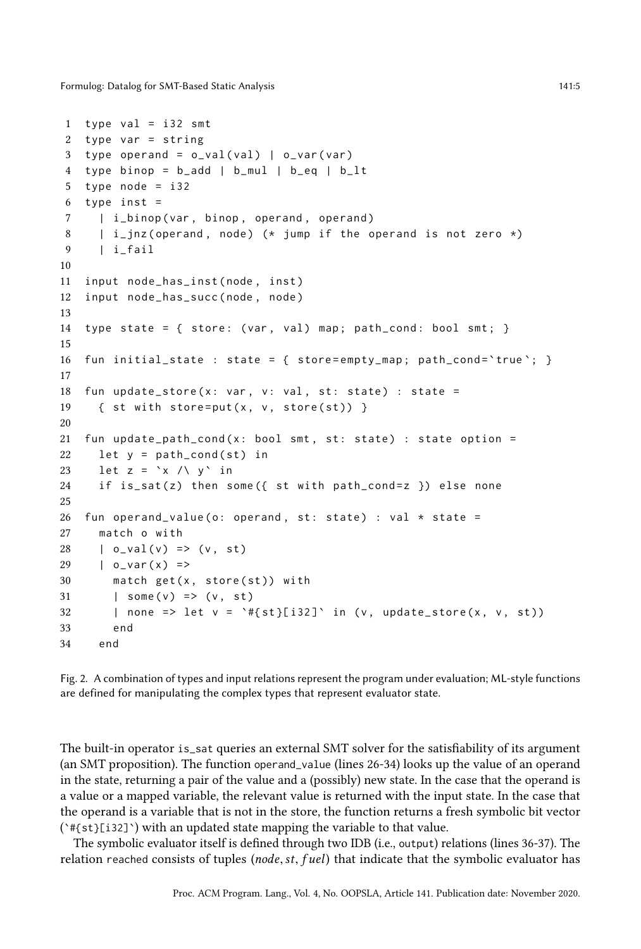```
1 type val = i32 smt
2 type var = string
3 type operand = o\_val(val) | o\_var(var)4 type binop = b_add | b_mul | b_eq | b_lt
5 type node = i32
6 type inst =
7 | i_binop ( var, binop, operand, operand )
8 | i_jnz (operand, node) (* jump if the operand is not zero *)
9 | i_fail
10
11 input node_has_inst ( node , inst )
12 input node_has_succ ( node , node )
13
14 type state = { store: (var, val) map; path_cond: bool smt; }
15
16 fun initial_state : state = { store=empty_map; path_cond='true'; }
17
18 fun update_store(x: var, v: val, st: state) : state =
19 \{ st with store=put(x, v, store(st)) }
20
21 fun update_path_cond(x: bool smt, st: state) : state option =
22 let y = path\_cond(st) in
23 let z = \xrightarrow{\ } x / \xrightarrow{\ } y in
24 if is_sat(z) then some({ st with path_cond=z }) else none
25
26 fun operand_value (o: operand, st: state) : val * state =
27 match o with
28 | o\_val(v) \Rightarrow (v, st)29 \t - \t 0 \t - \t 27 \t 27 \t 37 \t 5730 match get(x, store(st)) with
31 | some (v) => (v, st)
32 | none => let v = \forall f{st}[i32] ' in (v, update_store(x, v, st))
33 end
34 end
```
Fig. 2. A combination of types and input relations represent the program under evaluation; ML-style functions are defined for manipulating the complex types that represent evaluator state.

The built-in operator is\_sat queries an external SMT solver for the satisfiability of its argument (an SMT proposition). The function operand\_value (lines 26-34) looks up the value of an operand in the state, returning a pair of the value and a (possibly) new state. In the case that the operand is a value or a mapped variable, the relevant value is returned with the input state. In the case that the operand is a variable that is not in the store, the function returns a fresh symbolic bit vector (`#{st}[i32]`) with an updated state mapping the variable to that value.

The symbolic evaluator itself is defined through two IDB (i.e., output) relations (lines 36-37). The relation reached consists of tuples (node, st, fuel) that indicate that the symbolic evaluator has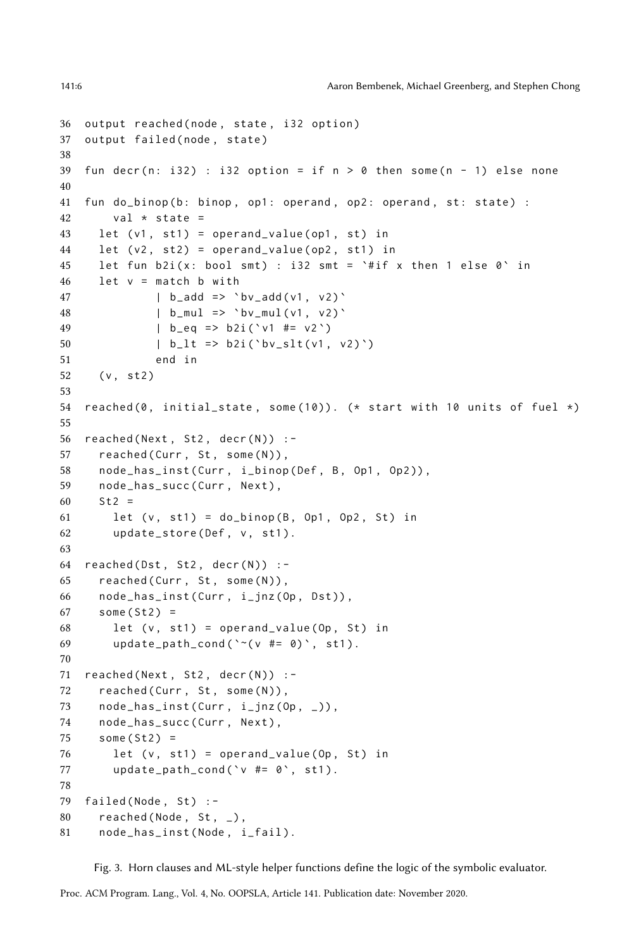```
36 output reached ( node , state , i32 option )
37 output failed (node, state)
38
39 fun decr(n: i32) : i32 option = if n > 0 then some(n - 1) else none
40
41 fun do_binop (b: binop, op1: operand, op2: operand, st: state) :
42 val \star state =
43 let (v1, st1) = operand_value (op1, st) in
44 let (v2, st2) = operand_value (op2, st1) in
45 let fun b2i(x: bool smt) : i32 smt = '# if x then 1 else 0' in46 let v = match b with
47 | b_add => \forall bv_add (v1, v2) \forall48 | b_mul => ` bv_mul (v1 , v2 ) `
49 | b_eq => b2i ( ` v1 #= v2 `)
50 | b_l t \Rightarrow b2i('bv_slt(v1, v2)')51 end in
52 (v, st2)53
54 reached (0, \text{ initial-state}, \text{ some } (10)). (* start with 10 units of fuel *)
55
56 read(Next, St2, decr(N)) :-
57 reached (Curr, St, some (N)),
58 node_has_inst ( Curr, i_binop ( Def, B, Op1, Op2 ) ),
59 node_has_succ(Curr, Next),
60 St2 =61 let (v, st1) = do_binop(B, Op1, Op2, St) in
62 update_store (Def, v, st1).
63
64 read(Dst, St2, decr(N)):
65 reached (Curr, St, some (N)),
66 node_has_inst ( Curr , i_jnz (Op , Dst )) ,
67 some (St2) =68 let (v, st1) = openand_value (Op, St) in69 update_path_cond(\degree (v #= 0)\degree, st1).
70
71 reached (Next, St2, decr(N)) :-
72 reached (Curr, St, some (N)),
73 node_has_inst (Curr, i_jnz (Op, _)),
74 node_has_succ(Curr, Next),
75 some (St2) =
76 let (v, st1) = operand_value (Op, St) in
77 update_path_cond ('v #= 0', st1).78
79 failed (Node, St) :-
80 reached (Node, St, _{-}),
81 node_has_inst ( Node , i_fail ).
```
Fig. 3. Horn clauses and ML-style helper functions define the logic of the symbolic evaluator.

```
Proc. ACM Program. Lang., Vol. 4, No. OOPSLA, Article 141. Publication date: November 2020.
```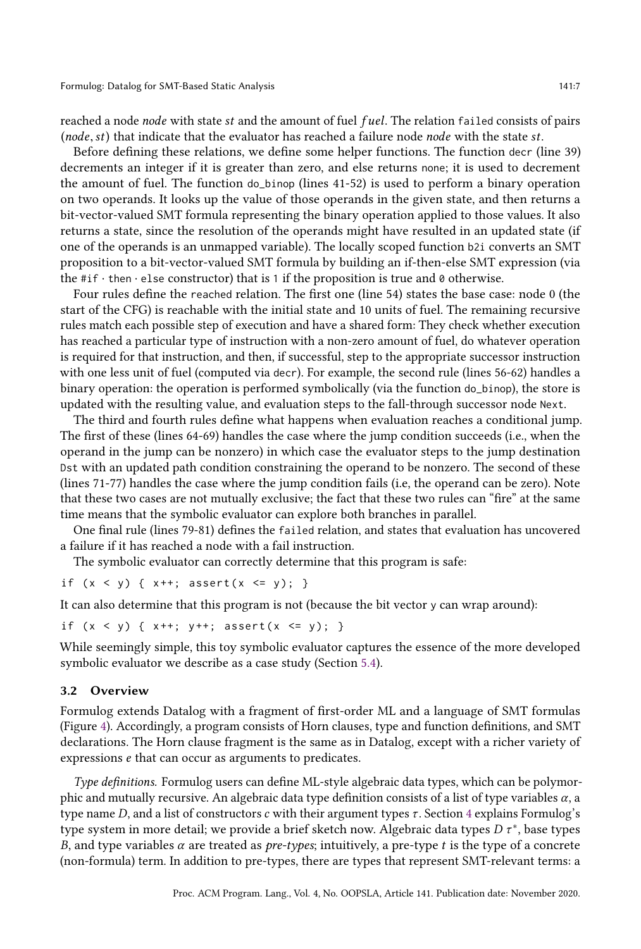reached a node node with state st and the amount of fuel fuel. The relation failed consists of pairs (node,st) that indicate that the evaluator has reached a failure node node with the state st.

Before defining these relations, we define some helper functions. The function decr (line 39) decrements an integer if it is greater than zero, and else returns none; it is used to decrement the amount of fuel. The function do\_binop (lines 41-52) is used to perform a binary operation on two operands. It looks up the value of those operands in the given state, and then returns a bit-vector-valued SMT formula representing the binary operation applied to those values. It also returns a state, since the resolution of the operands might have resulted in an updated state (if one of the operands is an unmapped variable). The locally scoped function b2i converts an SMT proposition to a bit-vector-valued SMT formula by building an if-then-else SMT expression (via the  $\#\mathrm{if} \cdot \mathrm{then} \cdot \mathrm{else}$  constructor) that is 1 if the proposition is true and 0 otherwise.

Four rules define the reached relation. The first one (line 54) states the base case: node 0 (the start of the CFG) is reachable with the initial state and 10 units of fuel. The remaining recursive rules match each possible step of execution and have a shared form: They check whether execution has reached a particular type of instruction with a non-zero amount of fuel, do whatever operation is required for that instruction, and then, if successful, step to the appropriate successor instruction with one less unit of fuel (computed via decr). For example, the second rule (lines 56-62) handles a binary operation: the operation is performed symbolically (via the function do\_binop), the store is updated with the resulting value, and evaluation steps to the fall-through successor node Next.

The third and fourth rules define what happens when evaluation reaches a conditional jump. The first of these (lines 64-69) handles the case where the jump condition succeeds (i.e., when the operand in the jump can be nonzero) in which case the evaluator steps to the jump destination Dst with an updated path condition constraining the operand to be nonzero. The second of these (lines 71-77) handles the case where the jump condition fails (i.e, the operand can be zero). Note that these two cases are not mutually exclusive; the fact that these two rules can "firež at the same time means that the symbolic evaluator can explore both branches in parallel.

One final rule (lines 79-81) defines the failed relation, and states that evaluation has uncovered a failure if it has reached a node with a fail instruction.

The symbolic evaluator can correctly determine that this program is safe:

```
if (x < y) { x++; assert (x < = y); }
```
It can also determine that this program is not (because the bit vector y can wrap around):

```
if (x < y) { x++; y++; assert(x < = y); }
```
While seemingly simple, this toy symbolic evaluator captures the essence of the more developed symbolic evaluator we describe as a case study (Section [5.4\)](#page-20-0).

#### <span id="page-6-0"></span>3.2 Overview

Formulog extends Datalog with a fragment of first-order ML and a language of SMT formulas (Figure [4\)](#page-7-0). Accordingly, a program consists of Horn clauses, type and function definitions, and SMT declarations. The Horn clause fragment is the same as in Datalog, except with a richer variety of expressions e that can occur as arguments to predicates.

Type definitions. Formulog users can define ML-style algebraic data types, which can be polymorphic and mutually recursive. An algebraic data type definition consists of a list of type variables  $\alpha$ , a type name D, and a list of constructors c with their argument types  $\tau$ . Section [4](#page-13-0) explains Formulog's type system in more detail; we provide a brief sketch now. Algebraic data types D  $\tau^*$ , base types B, and type variables  $\alpha$  are treated as *pre-types*; intuitively, a pre-type t is the type of a concrete (non-formula) term. In addition to pre-types, there are types that represent SMT-relevant terms: a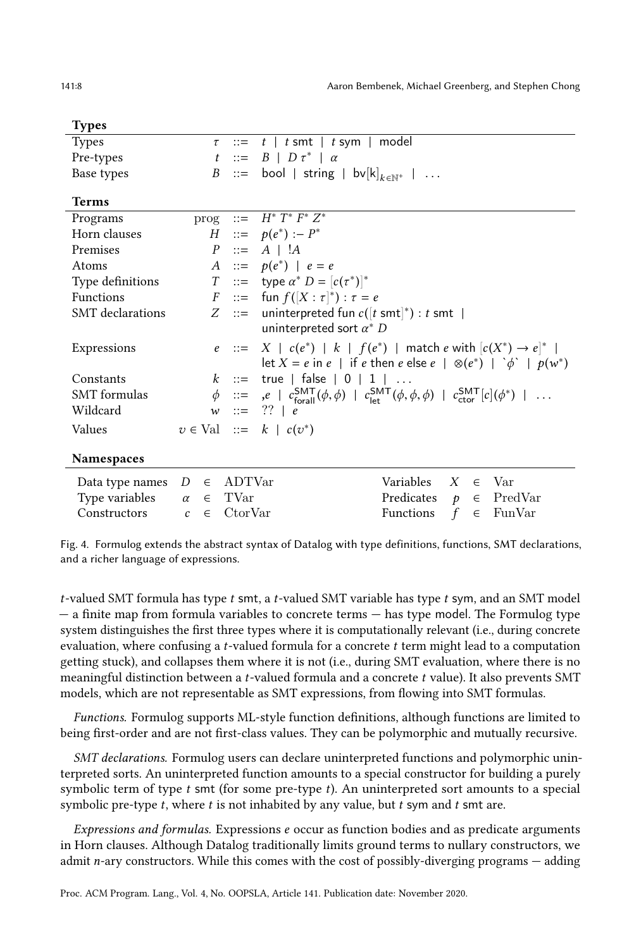<span id="page-7-0"></span>

| <b>Types</b>        |                          |            |                                                                                                                                                            |  |  |  |  |  |
|---------------------|--------------------------|------------|------------------------------------------------------------------------------------------------------------------------------------------------------------|--|--|--|--|--|
| <b>Types</b>        |                          | $\tau$ ::= | $t$   $t$ smt   $t$ sym   model                                                                                                                            |  |  |  |  |  |
| Pre-types           |                          |            | $t \ ::= B \mid D \tau^* \mid \alpha$                                                                                                                      |  |  |  |  |  |
| Base types          |                          |            | B ::= bool   string   bv $[k]_{k \in \mathbb{N}^+}$                                                                                                        |  |  |  |  |  |
| <b>Terms</b>        |                          |            |                                                                                                                                                            |  |  |  |  |  |
| Programs            |                          |            | prog ::= $H^* T^* \overline{F^* Z^*}$                                                                                                                      |  |  |  |  |  |
| Horn clauses        |                          |            | $H$ ::= $p(e^*)$ :- $P^*$                                                                                                                                  |  |  |  |  |  |
| Premises            |                          |            | $P ::= A   !A$                                                                                                                                             |  |  |  |  |  |
| Atoms               |                          |            | A ::= $p(e^*)   e = e$                                                                                                                                     |  |  |  |  |  |
| Type definitions    |                          |            | <i>T</i> ::= type $\alpha^*$ <i>D</i> = $[c(\tau^*)]^*$                                                                                                    |  |  |  |  |  |
| <b>Functions</b>    |                          |            | $F$ ::= fun $f([X : \tau]^*) : \tau = e$                                                                                                                   |  |  |  |  |  |
| SMT declarations    |                          |            | Z ::= uninterpreted fun $c([t \text{ smt}]^*) : t \text{ smt}$                                                                                             |  |  |  |  |  |
|                     |                          |            | uninterpreted sort $\alpha^*$ D                                                                                                                            |  |  |  |  |  |
| Expressions         |                          |            | $e$ ::= $X \mid c(e^*) \mid k \mid f(e^*) \mid$ match $e$ with $[c(X^*) \rightarrow e]^*$                                                                  |  |  |  |  |  |
|                     |                          |            | let $X = e$ in $e$   if $e$ then $e$ else $e$   $\otimes (e^*)$   $\phi$   $p(w^*)$                                                                        |  |  |  |  |  |
| Constants           |                          |            | $k$ ::= true   false   0   1  <br>$\ldots$                                                                                                                 |  |  |  |  |  |
| <b>SMT</b> formulas |                          |            | $\phi$ ::= ,e   $c_{\text{forall}}^{\text{SMT}}(\phi, \phi)$   $c_{\text{let}}^{\text{SMT}}(\phi, \phi, \phi)$   $c_{\text{ctor}}^{\text{SMT}}[c](\phi^*)$ |  |  |  |  |  |
| Wildcard            |                          |            | $w ::= ??   e$                                                                                                                                             |  |  |  |  |  |
| Values              |                          |            | $v \in Val$ ::= $k   c(v^*)$                                                                                                                               |  |  |  |  |  |
|                     |                          |            |                                                                                                                                                            |  |  |  |  |  |
| <b>Namespaces</b>   |                          |            |                                                                                                                                                            |  |  |  |  |  |
| Data type names D   | $\in$                    | ADTVar     | Variables<br>X<br>$\in$ Var                                                                                                                                |  |  |  |  |  |
| Type variables      | $\alpha \in \text{TVar}$ |            | Predicates<br>$p \in \text{PredVar}$                                                                                                                       |  |  |  |  |  |
| Constructors        | $c \in$                  | CtorVar    | f<br>Functions<br>$\epsilon$ FunVar                                                                                                                        |  |  |  |  |  |

Fig. 4. Formulog extends the abstract syntax of Datalog with type definitions, functions, SMT declarations, and a richer language of expressions.

t-valued SMT formula has type t smt, a t-valued SMT variable has type t sym, and an SMT model  $-$  a finite map from formula variables to concrete terms  $-$  has type model. The Formulog type system distinguishes the first three types where it is computationally relevant (i.e., during concrete evaluation, where confusing a  $t$ -valued formula for a concrete  $t$  term might lead to a computation getting stuck), and collapses them where it is not (i.e., during SMT evaluation, where there is no meaningful distinction between a *t*-valued formula and a concrete  $t$  value). It also prevents SMT models, which are not representable as SMT expressions, from flowing into SMT formulas.

Functions. Formulog supports ML-style function definitions, although functions are limited to being first-order and are not first-class values. They can be polymorphic and mutually recursive.

SMT declarations. Formulog users can declare uninterpreted functions and polymorphic uninterpreted sorts. An uninterpreted function amounts to a special constructor for building a purely symbolic term of type  $t$  smt (for some pre-type  $t$ ). An uninterpreted sort amounts to a special symbolic pre-type  $t$ , where  $t$  is not inhabited by any value, but  $t$  sym and  $t$  smt are.

Expressions and formulas. Expressions e occur as function bodies and as predicate arguments in Horn clauses. Although Datalog traditionally limits ground terms to nullary constructors, we admit  $n$ -ary constructors. While this comes with the cost of possibly-diverging programs  $-\text{adding}$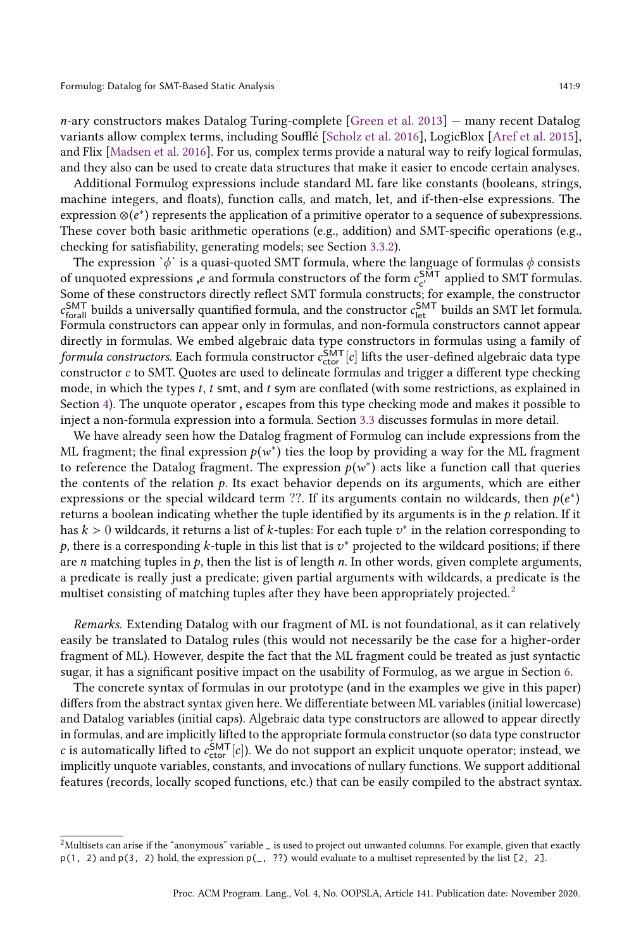$n$ -ary constructors makes Datalog Turing-complete [\[Green et al.](#page-28-6) [2013\]](#page-28-6)  $-$  many recent Datalog variants allow complex terms, including Soufflé [\[Scholz et al.](#page-29-6) [2016\]](#page-29-6), LogicBlox [\[Aref et al.](#page-27-8) [2015\]](#page-27-8), and Flix [\[Madsen et al.](#page-29-9) [2016\]](#page-29-9). For us, complex terms provide a natural way to reify logical formulas, and they also can be used to create data structures that make it easier to encode certain analyses.

Additional Formulog expressions include standard ML fare like constants (booleans, strings, machine integers, and floats), function calls, and match, let, and if-then-else expressions. The expression ⊗ $(e^*)$  represents the application of a primitive operator to a sequence of subexpressions. These cover both basic arithmetic operations (e.g., addition) and SMT-specific operations (e.g., checking for satisfiability, generating models; see Section [3.3.2\)](#page-10-0).

The expression ` $\phi$ ` is a quasi-quoted SMT formula, where the language of formulas  $\phi$  consists of unquoted expressions, e and formula constructors of the form  $c_{c'}^{\text{SMT}}$  applied to SMT formulas. Some of these constructors directly reflect SMT formula constructs; for example, the constructor  $c_{\text{forall}}^{\text{SMT}}$  builds a universally quantified formula, and the constructor  $c_{\text{let}}^{\text{SMT}}$  builds an SMT let formula. Formula constructors can appear only in formulas, and non-formula constructors cannot appear directly in formulas. We embed algebraic data type constructors in formulas using a family of formula constructors. Each formula constructor  $c_{\text{ctor}}^{\text{SMT}}[c]$  lifts the user-defined algebraic data type constructor c to SMT. Quotes are used to delineate formulas and trigger a different type checking mode, in which the types t, t smt, and t sym are conflated (with some restrictions, as explained in Section [4\)](#page-13-0). The unquote operator , escapes from this type checking mode and makes it possible to inject a non-formula expression into a formula. Section [3.3](#page-9-0) discusses formulas in more detail.

We have already seen how the Datalog fragment of Formulog can include expressions from the ML fragment; the final expression  $p(w^*)$  ties the loop by providing a way for the ML fragment to reference the Datalog fragment. The expression  $p(w^*)$  acts like a function call that queries the contents of the relation  $p$ . Its exact behavior depends on its arguments, which are either expressions or the special wildcard term ??. If its arguments contain no wildcards, then  $p(e^*)$ returns a boolean indicating whether the tuple identified by its arguments is in the  $p$  relation. If it has  $k > 0$  wildcards, it returns a list of k-tuples: For each tuple  $v^*$  in the relation corresponding to p, there is a corresponding k-tuple in this list that is  $v^*$  projected to the wildcard positions; if there are *n* matching tuples in  $p$ , then the list is of length *n*. In other words, given complete arguments, a predicate is really just a predicate; given partial arguments with wildcards, a predicate is the multiset consisting of matching tuples after they have been appropriately projected.<sup>[2](#page-8-0)</sup>

Remarks. Extending Datalog with our fragment of ML is not foundational, as it can relatively easily be translated to Datalog rules (this would not necessarily be the case for a higher-order fragment of ML). However, despite the fact that the ML fragment could be treated as just syntactic sugar, it has a significant positive impact on the usability of Formulog, as we argue in Section [6.](#page-22-0)

The concrete syntax of formulas in our prototype (and in the examples we give in this paper) differs from the abstract syntax given here. We differentiate between ML variables (initial lowercase) and Datalog variables (initial caps). Algebraic data type constructors are allowed to appear directly in formulas, and are implicitly lifted to the appropriate formula constructor (so data type constructor c is automatically lifted to  $c_{\text{ctor}}^{\text{SMT}}[c]$ ). We do not support an explicit unquote operator; instead, we implicitly unquote variables, constants, and invocations of nullary functions. We support additional features (records, locally scoped functions, etc.) that can be easily compiled to the abstract syntax.

<span id="page-8-0"></span> $2$ Multisets can arise if the "anonymous" variable  $\Delta$  is used to project out unwanted columns. For example, given that exactly p(1, 2) and p(3, 2) hold, the expression p(\_, ??) would evaluate to a multiset represented by the list [2, 2].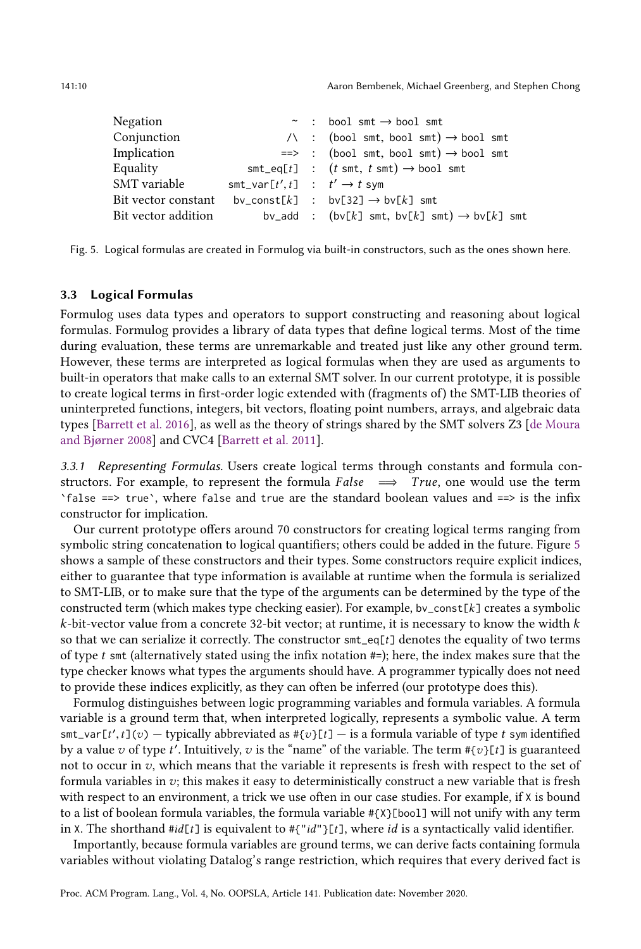<span id="page-9-1"></span>141:10 Aaron Bembenek, Michael Greenberg, and Stephen Chong

| Negation            |                                            | $\sim$ : bool smt $\rightarrow$ bool smt                         |
|---------------------|--------------------------------------------|------------------------------------------------------------------|
| Conjunction         |                                            | $\wedge$ : (bool smt, bool smt) $\rightarrow$ bool smt           |
| Implication         |                                            | $\Rightarrow$ : (bool smt, bool smt) $\rightarrow$ bool smt      |
| Equality            |                                            | $smt\_eq[t]$ : $(t smt, t smt) \rightarrow bool smt$             |
| SMT variable        | $smt\_var[t', t]$ : $t' \rightarrow t$ sym |                                                                  |
|                     |                                            | Bit vector constant by_const[k] : by[32] $\rightarrow$ by[k] smt |
| Bit vector addition |                                            | bv_add : (bv[k] smt, bv[k] smt) $\rightarrow$ bv[k] smt          |

Fig. 5. Logical formulas are created in Formulog via built-in constructors, such as the ones shown here.

## <span id="page-9-0"></span>3.3 Logical Formulas

Formulog uses data types and operators to support constructing and reasoning about logical formulas. Formulog provides a library of data types that define logical terms. Most of the time during evaluation, these terms are unremarkable and treated just like any other ground term. However, these terms are interpreted as logical formulas when they are used as arguments to built-in operators that make calls to an external SMT solver. In our current prototype, it is possible to create logical terms in first-order logic extended with (fragments of) the SMT-LIB theories of uninterpreted functions, integers, bit vectors, floating point numbers, arrays, and algebraic data types [\[Barrett et al.](#page-27-9) [2016\]](#page-27-9), as well as the theory of strings shared by the SMT solvers Z3 [\[de Moura](#page-28-7) and Bjørner 2008] and CVC4 [\[Barrett et al. 2011\]](#page-27-10).

3.3.1 Representing Formulas. Users create logical terms through constants and formula constructors. For example, to represent the formula False  $\implies$  True, one would use the term `false ==> true`, where false and true are the standard boolean values and ==> is the infix constructor for implication.

Our current prototype offers around 70 constructors for creating logical terms ranging from symbolic string concatenation to logical quantifiers; others could be added in the future. Figure [5](#page-9-1) shows a sample of these constructors and their types. Some constructors require explicit indices, either to guarantee that type information is available at runtime when the formula is serialized to SMT-LIB, or to make sure that the type of the arguments can be determined by the type of the constructed term (which makes type checking easier). For example, bv\_const[k] creates a symbolic  $k$ -bit-vector value from a concrete 32-bit vector; at runtime, it is necessary to know the width  $k$ so that we can serialize it correctly. The constructor  $\text{sm}_e \neq \text{q}[t]$  denotes the equality of two terms of type  $t$  smt (alternatively stated using the infix notation  $#$ ); here, the index makes sure that the type checker knows what types the arguments should have. A programmer typically does not need to provide these indices explicitly, as they can often be inferred (our prototype does this).

Formulog distinguishes between logic programming variables and formula variables. A formula variable is a ground term that, when interpreted logically, represents a symbolic value. A term  $\text{smt\_var}[t', t](v)$  - typically abbreviated as  $\#\{v\}[t]$  - is a formula variable of type t sym identified by a value  $v$  of type  $t'$ . Intuitively,  $v$  is the "name" of the variable. The term  $\#\{v\}$ [ $t$ ] is guaranteed not to occur in  $v$ , which means that the variable it represents is fresh with respect to the set of formula variables in  $v$ ; this makes it easy to deterministically construct a new variable that is fresh with respect to an environment, a trick we use often in our case studies. For example, if  $X$  is bound to a list of boolean formula variables, the formula variable #{X}[bool] will not unify with any term in X. The shorthand  $\#id[t]$  is equivalent to  $\#{^"id"}{t}$ ], where id is a syntactically valid identifier.

Importantly, because formula variables are ground terms, we can derive facts containing formula variables without violating Datalog's range restriction, which requires that every derived fact is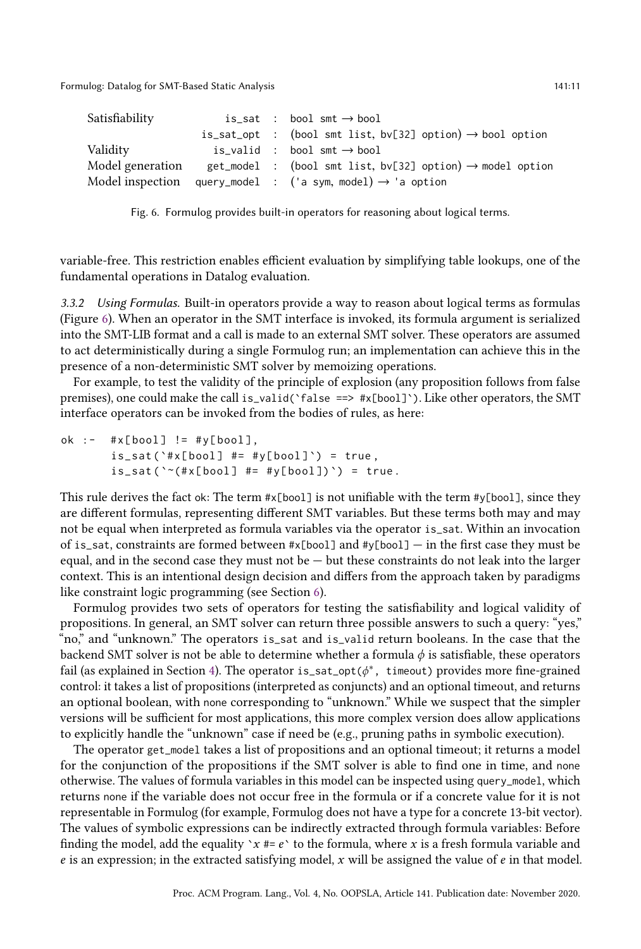<span id="page-10-1"></span>Formulog: Datalog for SMT-Based Static Analysis 141:11 and 2012 141:11 and 2013 141:11

| Satisfiability   |  | is_sat : bool smt $\rightarrow$ bool                                   |
|------------------|--|------------------------------------------------------------------------|
|                  |  | is_sat_opt : (bool smt list, bv[32] option) $\rightarrow$ bool option  |
| Validity         |  | is valid : bool smt $\rightarrow$ bool                                 |
| Model generation |  | get_model : (bool smt list, bv[32] option) $\rightarrow$ model option  |
|                  |  | Model inspection query_model : ('a sym, model) $\rightarrow$ 'a option |

Fig. 6. Formulog provides built-in operators for reasoning about logical terms.

variable-free. This restriction enables efficient evaluation by simplifying table lookups, one of the fundamental operations in Datalog evaluation.

<span id="page-10-0"></span>3.3.2 Using Formulas. Built-in operators provide a way to reason about logical terms as formulas (Figure [6\)](#page-10-1). When an operator in the SMT interface is invoked, its formula argument is serialized into the SMT-LIB format and a call is made to an external SMT solver. These operators are assumed to act deterministically during a single Formulog run; an implementation can achieve this in the presence of a non-deterministic SMT solver by memoizing operations.

For example, to test the validity of the principle of explosion (any proposition follows from false premises), one could make the call is\_valid(`false ==> #x[bool]`). Like other operators, the SMT interface operators can be invoked from the bodies of rules, as here:

ok :-  $\#x[bool]$  !=  $\#y[bool],$  $is\_sat('#x[bool] #= #y[bool]') = true,$  $is\_sat('~(#x[bool] #= #y[bool]))$  = true.

This rule derives the fact ok: The term  $\#x[bool]$  is not unifiable with the term  $\#y[bool]$ , since they are different formulas, representing different SMT variables. But these terms both may and may not be equal when interpreted as formula variables via the operator is\_sat. Within an invocation of is\_sat, constraints are formed between  $\#x[bool]$  and  $\#y[bool]$   $-$  in the first case they must be equal, and in the second case they must not be  $-$  but these constraints do not leak into the larger context. This is an intentional design decision and differs from the approach taken by paradigms like constraint logic programming (see Section [6\)](#page-22-0).

Formulog provides two sets of operators for testing the satisfiability and logical validity of propositions. In general, an SMT solver can return three possible answers to such a query: "yes," "no,ž and "unknown.ž The operators is\_sat and is\_valid return booleans. In the case that the backend SMT solver is not be able to determine whether a formula  $\phi$  is satisfiable, these operators fail (as explained in Section [4\)](#page-13-0). The operator is\_sat\_opt( $\phi^*$ , timeout) provides more fine-grained control: it takes a list of propositions (interpreted as conjuncts) and an optional timeout, and returns an optional boolean, with none corresponding to "unknown.ž While we suspect that the simpler versions will be sufficient for most applications, this more complex version does allow applications to explicitly handle the "unknown" case if need be (e.g., pruning paths in symbolic execution).

The operator get\_model takes a list of propositions and an optional timeout; it returns a model for the conjunction of the propositions if the SMT solver is able to find one in time, and none otherwise. The values of formula variables in this model can be inspected using query\_model, which returns none if the variable does not occur free in the formula or if a concrete value for it is not representable in Formulog (for example, Formulog does not have a type for a concrete 13-bit vector). The values of symbolic expressions can be indirectly extracted through formula variables: Before finding the model, add the equality ' $x \neq e$ ' to the formula, where x is a fresh formula variable and  $e$  is an expression; in the extracted satisfying model, x will be assigned the value of  $e$  in that model.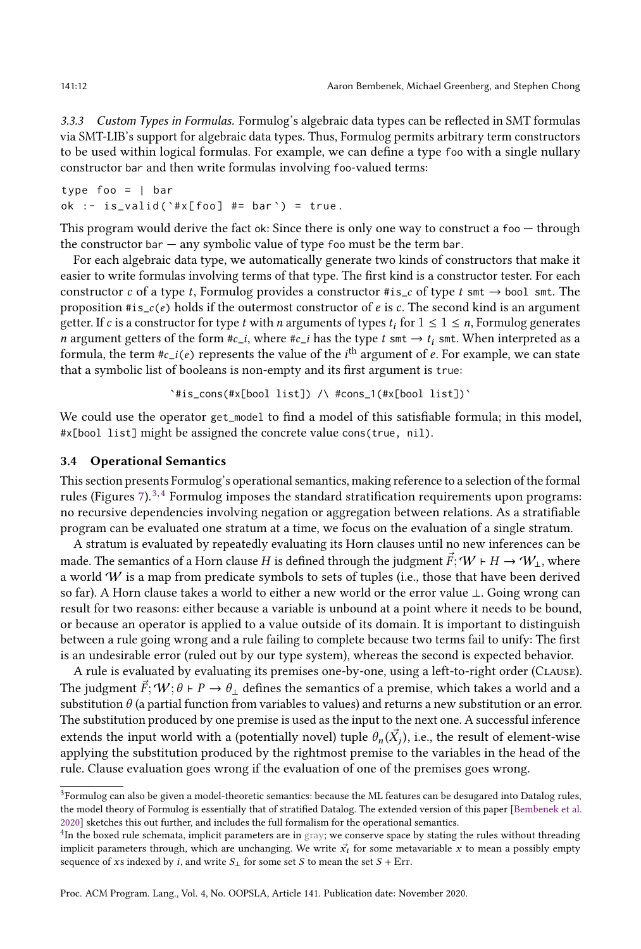3.3.3 Custom Types in Formulas. Formulog's algebraic data types can be reflected in SMT formulas via SMT-LIB's support for algebraic data types. Thus, Formulog permits arbitrary term constructors to be used within logical formulas. For example, we can define a type foo with a single nullary constructor bar and then write formulas involving foo-valued terms:

```
type foo = | bar
ok :- is_valid ('#x[foo] #= bar') = true.
```
This program would derive the fact ok: Since there is only one way to construct a  $f \circ \sigma - f$  through the constructor bar  $-$  any symbolic value of type foo must be the term bar.

For each algebraic data type, we automatically generate two kinds of constructors that make it easier to write formulas involving terms of that type. The first kind is a constructor tester. For each constructor c of a type t, Formulog provides a constructor  $\#\text{is}_c$  of type t smt  $\rightarrow$  bool smt. The proposition  $\#is_c(e)$  holds if the outermost constructor of e is c. The second kind is an argument getter. If c is a constructor for type t with n arguments of types  $t_i$  for  $1 \leq i \leq n$ , Formulog generates n argument getters of the form  $\#c_i$ , where  $\#c_i$  has the type  $t$  smt  $\rightarrow t_i$  smt. When interpreted as a formula, the term #c\_i(e) represents the value of the  $i^{\text{th}}$  argument of  $e$ . For example, we can state that a symbolic list of booleans is non-empty and its first argument is true:

`#is\_cons(#x[bool list]) /\ #cons\_1(#x[bool list])`

We could use the operator get\_model to find a model of this satisfiable formula; in this model, #x[bool list] might be assigned the concrete value cons(true, nil).

# 3.4 Operational Semantics

This section presents Formulog's operational semantics, making reference to a selection of the formal rules (Figures  $7$ ).<sup>[3,](#page-11-0) [4](#page-11-1)</sup> Formulog imposes the standard stratification requirements upon programs: no recursive dependencies involving negation or aggregation between relations. As a stratifiable program can be evaluated one stratum at a time, we focus on the evaluation of a single stratum.

A stratum is evaluated by repeatedly evaluating its Horn clauses until no new inferences can be made. The semantics of a Horn clause H is defined through the judgment  $\vec{F}$ ;  $W \vdash H \rightarrow W_1$ , where a world  $W$  is a map from predicate symbols to sets of tuples (i.e., those that have been derived so far). A Horn clause takes a world to either a new world or the error value ⊥. Going wrong can result for two reasons: either because a variable is unbound at a point where it needs to be bound, or because an operator is applied to a value outside of its domain. It is important to distinguish between a rule going wrong and a rule failing to complete because two terms fail to unify: The first is an undesirable error (ruled out by our type system), whereas the second is expected behavior.

A rule is evaluated by evaluating its premises one-by-one, using a left-to-right order (Clause). The judgment  $\vec{F}$ ;  $W$ ;  $\theta \vdash P \to \theta_{\perp}$  defines the semantics of a premise, which takes a world and a substitution  $\theta$  (a partial function from variables to values) and returns a new substitution or an error. The substitution produced by one premise is used as the input to the next one. A successful inference extends the input world with a (potentially novel) tuple  $\theta_n(\vec{X}_j)$ , i.e., the result of element-wise applying the substitution produced by the rightmost premise to the variables in the head of the rule. Clause evaluation goes wrong if the evaluation of one of the premises goes wrong.

Proc. ACM Program. Lang., Vol. 4, No. OOPSLA, Article 141. Publication date: November 2020.

<span id="page-11-0"></span> ${}^{3}$  Formulog can also be given a model-theoretic semantics: because the ML features can be desugared into Datalog rules, the model theory of Formulog is essentially that of stratified Datalog. The extended version of this paper [\[Bembenek et al.](#page-27-11) [2020\]](#page-27-11) sketches this out further, and includes the full formalism for the operational semantics.

<span id="page-11-1"></span> $4$ In the boxed rule schemata, implicit parameters are in gray; we conserve space by stating the rules without threading implicit parameters through, which are unchanging. We write  $\vec{x_i}$  for some metavariable x to mean a possibly empty sequence of xs indexed by *i*, and write  $S_{\perp}$  for some set S to mean the set  $S$  + Err.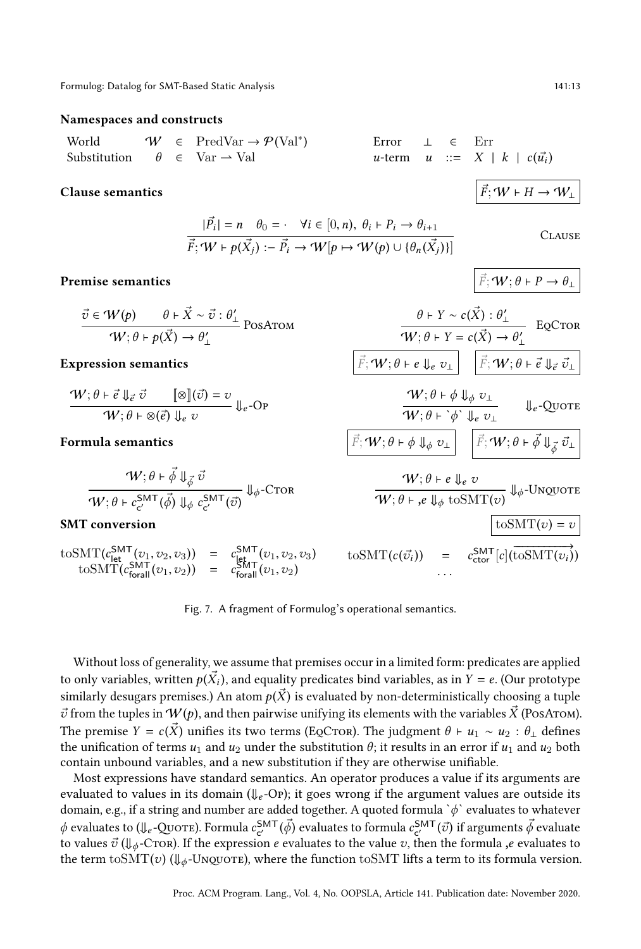#### <span id="page-12-0"></span>Namespaces and constructs

World

\n
$$
\begin{array}{llll}\n\mathsf{World} & \mathsf{W} \in \mathrm{PredVar} \to \mathcal{P}(\mathrm{Val}^*) \\
\text{Substitution} & \theta \in \mathrm{Var} \to \mathrm{Val} \\
\mathsf{W} & \mathsf{W} \to \mathrm{Val} \\
\mathsf{W} & \mathsf{W} \to \mathrm{Val} \\
\mathsf{W} & \mathsf{W} \to \mathrm{Val} \\
\mathsf{W} & \mathsf{W} \to \mathrm{Val} \\
\mathsf{W} & \mathsf{W} \to \mathrm{Val} \\
\mathsf{W} & \mathsf{W} \to \mathrm{Val} \\
\mathsf{W} & \mathsf{W} \to \mathrm{Val} \\
\mathsf{W} & \mathsf{W} \to \mathrm{Val} \\
\mathsf{W} & \mathsf{W} \to \mathrm{Val} \\
\mathsf{W} & \mathsf{W} \to \mathrm{Val} \\
\mathsf{W} & \mathsf{W} \to \mathrm{Val} \\
\mathsf{W} & \mathsf{W} \to \mathrm{Val} \\
\mathsf{W} & \mathsf{W} \to \mathrm{Val} \\
\mathsf{W} & \mathsf{W} \to \mathrm{Val} \\
\mathsf{W} & \mathsf{W} \to \mathrm{Val} \\
\mathsf{W} & \mathsf{W} \to \mathrm{Val} \\
\mathsf{W} & \mathsf{W} \to \mathrm{Val} \\
\mathsf{W} & \mathsf{W} \to \mathrm{Val} \\
\mathsf{W} & \mathsf{W} \to \mathrm{Val} \\
\mathsf{W} & \mathsf{W} \to \mathrm{Val} \\
\mathsf{W} & \mathsf{W} \to \mathrm{Val} \\
\mathsf{W} & \mathsf{W} \to \mathrm{Val} \\
\mathsf{W} & \mathsf{W} \to \mathrm{Val} \\
\mathsf{W} & \mathsf{W} \to \mathrm{Val} \\
\mathsf{W} & \mathsf{W} \to \mathrm{Val} \\
\mathsf{W} & \mathsf{W} \to \mathrm{Val} \\
\mathsf{W} & \mathsf{W} \to \mathrm{Val} \\
\mathsf{W} & \mathsf{W} \to \mathrm{Val} \\
\mathsf{W} & \mathsf{W} \to \mathrm{Val} \\
\mathsf{W} & \mathsf
$$

# Clause semantics  $|\vec{F}; W \rhd H \rightarrow W_1$

$$
|\vec{P}_i| = n \quad \theta_0 = \cdot \quad \forall i \in [0, n), \ \theta_i \vdash P_i \rightarrow \theta_{i+1}
$$

$$
\vec{F}; \mathcal{W} \vdash p(\vec{X}_j) := \vec{P}_i \rightarrow \mathcal{W}[p \mapsto \mathcal{W}(p) \cup \{\theta_n(\vec{X}_j)\}]
$$

#### Premise semantics

$$
\frac{\vec{v} \in \mathcal{W}(p) \qquad \theta \vdash \vec{X} \sim \vec{v} : \theta'_{\perp}}{\mathcal{W}; \theta \vdash p(\vec{X}) \rightarrow \theta'_{\perp}} \text{PosAtom}
$$

$$
\frac{\mathcal{W}; \theta \vdash \vec{e} \Downarrow_{\vec{e}} \vec{v} \qquad [\![\otimes\!] (\vec{v}) = v \qquad \qquad}_{\vec{e}} O \mathbf{P}}{\mathcal{W}; \theta \vdash \otimes (\vec{e}) \Downarrow_{e} v} \Downarrow_{e} O \mathbf{P}}
$$

$$
\frac{\mathcal{W}; \theta \vdash \vec{\phi} \Downarrow_{\vec{\phi}} \vec{v}}{\mathcal{W}; \theta \vdash c_{c'}^{\mathsf{SMT}}(\vec{\phi}) \Downarrow_{\phi} c_{c'}^{\mathsf{SMT}}(\vec{v})} \Downarrow_{\phi} \text{-Ctor}
$$

#### SMT conversion

 $\text{to} \text{SMT}(c_{\text{let}}^{\text{SMT}}(v_1, v_2, v_3)) = c_{\text{let}}^{\text{SMT}}(v_1, v_2, v_3)$  $\mathrm{toSMT}(c_{\text{for all}}^{\text{SMT}}(v_1, v_2)) = c_{\text{for all}}^{\text{SMT}}(v_1, v_2)$ 

| $W; \theta \models \otimes (\vec{e}) \Downarrow_e v$                                                    | $\downarrow_e$ -Qvort                                                                                                                                                                                                                                                                                                                                                                                                                                                                                                                                                                                                                                                                                                                                                                                                                              |                                                                                                                       |
|---------------------------------------------------------------------------------------------------------|----------------------------------------------------------------------------------------------------------------------------------------------------------------------------------------------------------------------------------------------------------------------------------------------------------------------------------------------------------------------------------------------------------------------------------------------------------------------------------------------------------------------------------------------------------------------------------------------------------------------------------------------------------------------------------------------------------------------------------------------------------------------------------------------------------------------------------------------------|-----------------------------------------------------------------------------------------------------------------------|
| Formula semantics                                                                                       | $\overline{F}; W; \theta \models \phi \Downarrow_{\phi} v_{\perp}$                                                                                                                                                                                                                                                                                                                                                                                                                                                                                                                                                                                                                                                                                                                                                                                 | $\downarrow_e$ -Qvort                                                                                                 |
| Formula semantics                                                                                       | $\overline{F}; W; \theta \models \phi \Downarrow_{\phi} v_{\perp}$                                                                                                                                                                                                                                                                                                                                                                                                                                                                                                                                                                                                                                                                                                                                                                                 | $\overline{F}; W; \theta \models \phi \Downarrow_{\phi} v_{\perp}$                                                    |
| $W; \theta \models \overrightarrow{\phi} \Downarrow_{\overrightarrow{\phi}} \overrightarrow{v_{\perp}}$ | $\overline{W}; \theta \models \phi \Downarrow_{\phi} v_{\perp}$                                                                                                                                                                                                                                                                                                                                                                                                                                                                                                                                                                                                                                                                                                                                                                                    | $\overline{F}; W; \theta \models \overrightarrow{\phi} \Downarrow_{\overrightarrow{\phi}} \overrightarrow{v_{\perp}}$ |
| $W; \theta \models e, \overline{v}$                                                                     | $W; \theta \models e, v$                                                                                                                                                                                                                                                                                                                                                                                                                                                                                                                                                                                                                                                                                                                                                                                                                           | $W; \theta \models e, v$                                                                                              |
| SMT conversion                                                                                          | $\overline{U} \circ \overline{M} \circ \overline{M} \circ \overline{M} \circ \overline{M} \circ \overline{M} \circ \overline{M} \circ \overline{M} \circ \overline{M} \circ \overline{M} \circ \overline{M} \circ \overline{M} \circ \overline{M} \circ \overline{M} \circ \overline{M} \circ \overline{M} \circ \overline{M} \circ \overline{M} \circ \overline{M} \circ \overline{M} \circ \overline{M} \circ \overline{M} \circ \overline{M} \circ \overline{M} \circ \overline{M} \circ \overline{M} \circ \overline{M} \circ \overline{M} \circ \overline{M} \circ \overline{M} \circ \overline{M} \circ \overline{M} \circ \overline{M} \circ \overline{M} \circ \overline{M} \circ \overline{M} \circ \overline{M} \circ \overline{M} \circ \overline{M} \circ \overline{M} \circ \overline{M} \circ \overline{M} \circ \overline{M} \circ$ |                                                                                                                       |

Fig. 7. A fragment of Formulog's operational semantics.

Without loss of generality, we assume that premises occur in a limited form: predicates are applied to only variables, written  $p(\vec{X}_i)$ , and equality predicates bind variables, as in  $Y = e$ . (Our prototype similarly desugars premises.) An atom  $p(\vec{X})$  is evaluated by non-deterministically choosing a tuple  $\vec{v}$  from the tuples in  $W(p)$ , and then pairwise unifying its elements with the variables  $\vec{X}$  (PosArom). The premise  $Y = c(X)$  unifies its two terms (EQCTOR). The judgment  $\theta \vdash u_1 \sim u_2 : \theta_\perp$  defines the unification of terms  $u_1$  and  $u_2$  under the substitution  $\theta$ ; it results in an error if  $u_1$  and  $u_2$  both contain unbound variables, and a new substitution if they are otherwise unifiable.

Most expressions have standard semantics. An operator produces a value if its arguments are evaluated to values in its domain ( $\Downarrow_e$ -Op); it goes wrong if the argument values are outside its domain, e.g., if a string and number are added together. A quoted formula  $\phi$  evaluates to whatever  $\phi$  evaluates to ( $\psi_e$ -Quote). Formula  $c_{c'}^{\text{SMT}}(\vec{\phi})$  evaluates to formula  $c_{c'}^{\text{SMT}}(\vec{v})$  if arguments  $\vec{\phi}$  evaluate to values  $\vec{v}$  ( $\Downarrow_{\phi}$ -C $\tau$ or). If the expression e evaluates to the value v, then the formula ,e evaluates to the term toSMT(v) ( $\Downarrow_{\phi}$ -Unquore), where the function toSMT lifts a term to its formula version.

**CLAUSE** 

$$
\vec{F}; \mathbf{W}; \theta \vdash P \rightarrow \theta_{\perp}
$$

$$
\frac{\vec{v} \in W(p) \qquad \theta \vdash \vec{X} \sim \vec{v} : \theta'_{\perp}}{W; \theta \vdash p(\vec{X}) \rightarrow \theta'_{\perp}} \text{ PosArom}
$$
\n
$$
\frac{\theta \vdash Y \sim c(\vec{X}) : \theta'_{\perp}}{W; \theta \vdash Y = c(\vec{X}) \rightarrow \theta'_{\perp}} \text{ EQCron}
$$
\n
$$
\frac{\theta \vdash Y \sim c(\vec{X}) : \theta'_{\perp}}{W; \theta \vdash Y = c(\vec{X}) \rightarrow \theta'_{\perp}} \text{ EQCron}
$$
\n
$$
\frac{\theta \vdash Y \sim c(\vec{X}) : \theta'_{\perp}}{W; \theta \vdash Y = c(\vec{X}) \rightarrow \theta'_{\perp}} \text{ EQCron}
$$

$$
\frac{W(\theta + \phi \psi_e v_\perp)}{W(\theta + \phi \psi_e v_\perp)} \psi_e
$$
-Quore

$$
W; \theta \vdash e \Downarrow_{e} v
$$
  
\n
$$
W; \theta \vdash e \Downarrow_{e} v
$$
  
\n
$$
W; \theta \vdash e \Downarrow_{\phi} \text{to} \text{SMT}(v) \Downarrow_{\phi} \text{-Ungyote}
$$
  
\n
$$
\text{to} \text{SMT}(c(\vec{v_i})) = c_{\text{ctor}}^{\text{SMT}}[c](\overrightarrow{\text{to}} \text{SMT}(v_i))
$$

. . .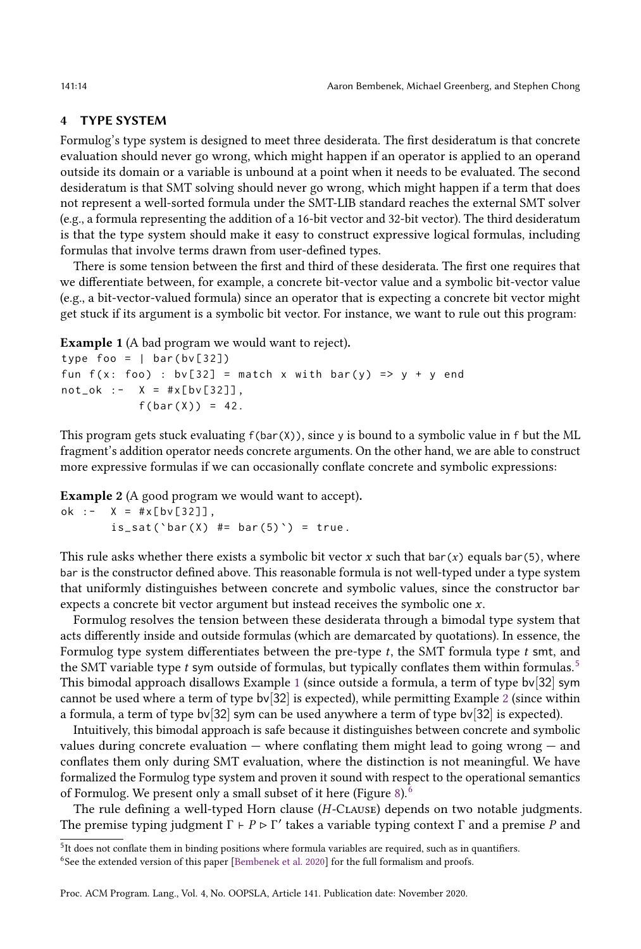# <span id="page-13-0"></span>4 TYPE SYSTEM

Formulog's type system is designed to meet three desiderata. The first desideratum is that concrete evaluation should never go wrong, which might happen if an operator is applied to an operand outside its domain or a variable is unbound at a point when it needs to be evaluated. The second desideratum is that SMT solving should never go wrong, which might happen if a term that does not represent a well-sorted formula under the SMT-LIB standard reaches the external SMT solver (e.g., a formula representing the addition of a 16-bit vector and 32-bit vector). The third desideratum is that the type system should make it easy to construct expressive logical formulas, including formulas that involve terms drawn from user-defined types.

There is some tension between the first and third of these desiderata. The first one requires that we differentiate between, for example, a concrete bit-vector value and a symbolic bit-vector value (e.g., a bit-vector-valued formula) since an operator that is expecting a concrete bit vector might get stuck if its argument is a symbolic bit vector. For instance, we want to rule out this program:

<span id="page-13-2"></span>Example 1 (A bad program we would want to reject).

```
type foo = | bar(bv[32])|fun f(x: foo) : bv[32] = match x with bar(y) => y + y endnot\_ok : - X = #x[bv[32]],
           f(bar(X)) = 42.
```
This program gets stuck evaluating  $f(bar(X))$ , since y is bound to a symbolic value in f but the ML fragment's addition operator needs concrete arguments. On the other hand, we are able to construct more expressive formulas if we can occasionally conflate concrete and symbolic expressions:

<span id="page-13-3"></span>Example 2 (A good program we would want to accept).

ok :-  $X = #x[bv[32]]$ ,  $is\_sat('bar(X) \#= bar(5)') = true.$ 

This rule asks whether there exists a symbolic bit vector x such that  $bar(x)$  equals bar(5), where bar is the constructor defined above. This reasonable formula is not well-typed under a type system that uniformly distinguishes between concrete and symbolic values, since the constructor bar expects a concrete bit vector argument but instead receives the symbolic one x.

Formulog resolves the tension between these desiderata through a bimodal type system that acts differently inside and outside formulas (which are demarcated by quotations). In essence, the Formulog type system differentiates between the pre-type  $t$ , the SMT formula type  $t$  smt, and the SMT variable type  $t$  sym outside of formulas, but typically conflates them within formulas.<sup>[5](#page-13-1)</sup> This bimodal approach disallows Example [1](#page-13-2) (since outside a formula, a term of type bv[32] sym cannot be used where a term of type bv[32] is expected), while permitting Example [2](#page-13-3) (since within a formula, a term of type bv[32] sym can be used anywhere a term of type bv[32] is expected).

Intuitively, this bimodal approach is safe because it distinguishes between concrete and symbolic values during concrete evaluation  $-$  where conflating them might lead to going wrong  $-$  and conflates them only during SMT evaluation, where the distinction is not meaningful. We have formalized the Formulog type system and proven it sound with respect to the operational semantics of Formulog. We present only a small subset of it here (Figure [8\)](#page-14-0).[6](#page-13-4)

The rule defining a well-typed Horn clause (H-Clause) depends on two notable judgments. The premise typing judgment  $\Gamma \vdash P \triangleright \Gamma'$  takes a variable typing context  $\Gamma$  and a premise P and

<span id="page-13-1"></span> $<sup>5</sup>$ It does not conflate them in binding positions where formula variables are required, such as in quantifiers.</sup>

<span id="page-13-4"></span><sup>&</sup>lt;sup>6</sup>See the extended version of this paper [\[Bembenek et al. 2020\]](#page-27-11) for the full formalism and proofs.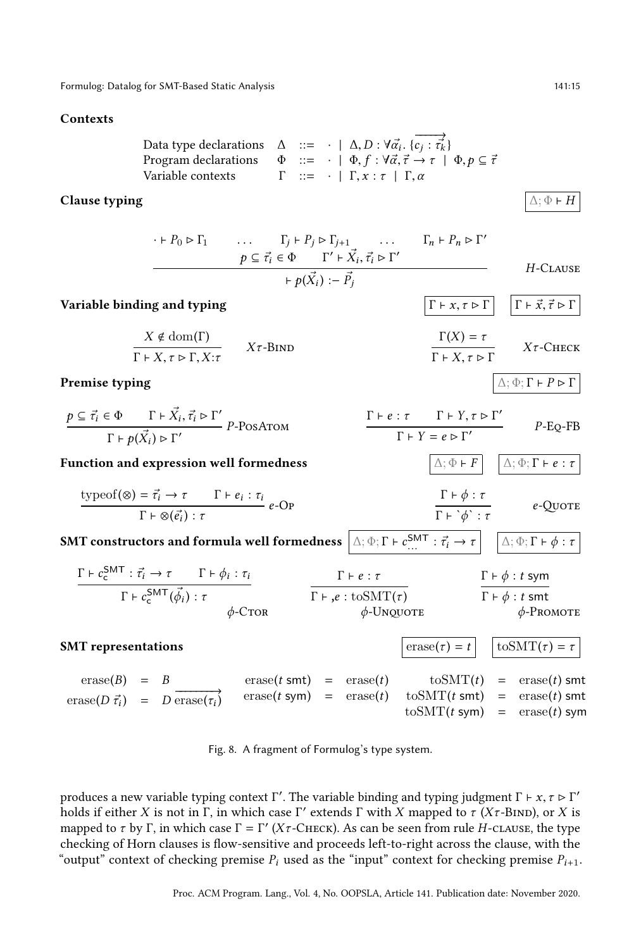#### <span id="page-14-0"></span>Contexts

Data type declarations 
$$
\Delta ::= \cdot | \Delta, D : \forall \vec{\alpha_i} \cdot \{ \vec{c_j} : \vec{\tau_k} \}
$$
  
Program declarations  $\Phi ::= \cdot | \Phi, f : \forall \vec{\alpha}, \vec{\tau} \to \tau | \Phi, p \subseteq \vec{\tau}$   
Variable contexts  $\Gamma ::= \cdot | \Gamma, x : \tau | \Gamma, \alpha$ 

# **Clause typing**  $\Delta$ ;  $\Phi$  ⊢ H

 $\cdot \vdash P_0 \triangleright \Gamma_1$  ...  $\Gamma_j \vdash P_j \triangleright \Gamma_{j+1}$  ...  $\Gamma_n \vdash P_n \triangleright \Gamma'$  $p \subseteq \vec{\tau}_i \in \Phi$   $\Gamma' \vdash \vec{X}_i, \vec{\tau}_i \rhd \Gamma'$  $ightharpoonup p(\vec{X}_i) := \vec{P}_j$ H-Clause

Variable binding and typing  
\n
$$
\begin{array}{ccc}\nX \notin \text{dom}(\Gamma) & X\tau-\text{BIND} \\
\hline\n\Gamma + X, \tau > \Gamma, X:\tau\n\end{array}\n\qquad\n\begin{array}{ccc}\n\Gamma + x, \tau > \Gamma \\
\hline\n\Gamma + X, \tau > \Gamma\n\end{array}\n\qquad\n\begin{array}{ccc}\nX\tau-\text{GHEV} & & \tau-\text{GHEV} \\
\hline\n\Gamma + X, \tau > \Gamma\n\end{array}
$$

# **Premise typing**  $\Delta$ ;  $\Phi$ ;  $\Gamma$  +  $P$   $\triangleright$   $\Gamma$

| $p \subseteq \vec{\tau}_i \in \Phi$ $\Gamma \vdash \vec{X}_i, \vec{\tau}_i \rhd \Gamma'$ | $P-PosA$ TOM |  | $\Gamma \vdash e : \tau$ $\Gamma \vdash Y, \tau \rhd \Gamma'$ | $P$ -Eo-FB |
|------------------------------------------------------------------------------------------|--------------|--|---------------------------------------------------------------|------------|
| $\Gamma \vdash p(\vec{X}_i) \triangleright \Gamma'$                                      |              |  | $\Gamma \vdash Y = e \triangleright \Gamma'$                  |            |

**Function and expression well formedness**  $\Delta; \Phi \vdash F \mid \Delta; \Phi; \Gamma \vdash e : \tau$ 

$$
\frac{\text{typeof}(\otimes) = \vec{\tau}_i \to \tau \qquad \Gamma \vdash e_i : \tau_i}{\Gamma \vdash \otimes (\vec{e_i}) : \tau} e\text{-Op}
$$
\n
$$
\frac{\Gamma \vdash \phi : \tau}{\Gamma \vdash \dot{\phi} : \tau} \qquad e\text{-Quore}
$$

SMT constructors and formula well formedness  $\big| \mathbin{\vartriangle}; \Phi; \Gamma \vdash c^{\textsf{SMT}}_{\dots}$  $\Delta$ ; Φ; Γ +  $\phi$  : τ

$$
\frac{\Gamma \vdash c_{\mathsf{c}}^{\mathsf{SMT}} : \vec{\tau_i} \to \tau \qquad \Gamma \vdash \phi_i : \tau_i}{\Gamma \vdash c_{\mathsf{c}}^{\mathsf{SMT}}(\vec{\phi_i}) : \tau} \qquad \qquad \frac{\Gamma \vdash e : \tau}{\Gamma \vdash e : \text{to} \mathsf{SMT}(\tau)} \qquad \qquad \frac{\Gamma \vdash \phi : t \text{ sym}}{\Gamma \vdash \phi : t \text{ smt}} \qquad \qquad \frac{\Gamma \vdash \phi : t \text{ sym}}{\varphi \text{-PROMOTE}}
$$

**SMT representations**  $\left|\text{erase}(\tau) = t\right| \quad \text{to} \text{SMT}(\tau) = \tau$  $\text{erase}(B) = B$  $\text{erase}(D \vec{\tau_i}) = D \overrightarrow{\text{erase}(\tau_i)}$  $\text{erase}(t \text{ smt}) = \text{erase}(t)$  $\text{erase}(t \text{ sym}) = \text{erase}(t)$  $to \text{SMT}(t)$  = erase(t) smt  $to \text{SMT}(t \text{ smt}) = \text{erase}(t) \text{ smt}$  $to \text{SMT}(t \text{ sym})$  =  $\text{erase}(t) \text{ sym}$ 

Fig. 8. A fragment of Formulog's type system.

produces a new variable typing context  $\Gamma'$ . The variable binding and typing judgment  $\Gamma \vdash x, \tau \rhd \Gamma'$ holds if either X is not in Γ, in which case Γ' extends Γ with X mapped to  $\tau$  (Xτ-BIND), or X is mapped to  $\tau$  by Γ, in which case  $\Gamma = \Gamma'$  (X $\tau$ -CHECK). As can be seen from rule H-CLAUSE, the type checking of Horn clauses is flow-sensitive and proceeds left-to-right across the clause, with the "output" context of checking premise  $P_i$  used as the "input" context for checking premise  $P_{i+1}$ .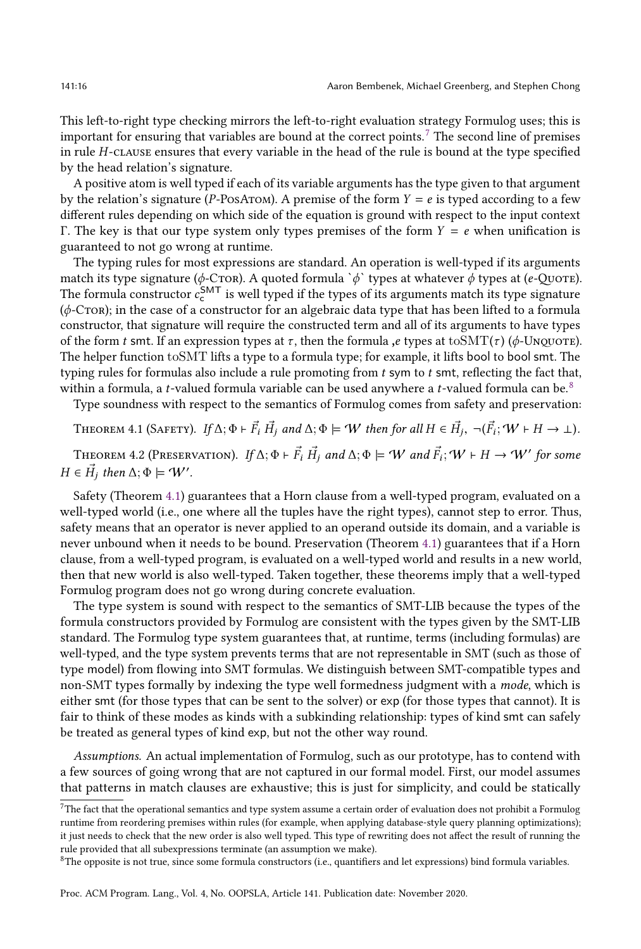This left-to-right type checking mirrors the left-to-right evaluation strategy Formulog uses; this is important for ensuring that variables are bound at the correct points.[7](#page-15-0) The second line of premises in rule H-clause ensures that every variable in the head of the rule is bound at the type specified by the head relation's signature.

A positive atom is well typed if each of its variable arguments has the type given to that argument by the relation's signature (P-PosArom). A premise of the form  $Y = e$  is typed according to a few different rules depending on which side of the equation is ground with respect to the input context Γ. The key is that our type system only types premises of the form  $Y = e$  when unification is guaranteed to not go wrong at runtime.

The typing rules for most expressions are standard. An operation is well-typed if its arguments match its type signature ( $\phi$ -C $\text{TOR}$ ). A quoted formula ` $\phi$ ` types at whatever  $\phi$  types at (e-Quote). The formula constructor  $c_{\rm c}^{\rm SMT}$  is well typed if the types of its arguments match its type signature  $(\phi$ -C $\tau$ on); in the case of a constructor for an algebraic data type that has been lifted to a formula constructor, that signature will require the constructed term and all of its arguments to have types of the form t smt. If an expression types at  $\tau$ , then the formula ,e types at toSMT( $\tau$ ) ( $\phi$ -Unquore). The helper function toSMT lifts a type to a formula type; for example, it lifts bool to bool smt. The typing rules for formulas also include a rule promoting from  $t$  sym to  $t$  smt, reflecting the fact that, within a formula, a t-valued formula variable can be used anywhere a t-valued formula can be.<sup>[8](#page-15-1)</sup>

Type soundness with respect to the semantics of Formulog comes from safety and preservation:

<span id="page-15-2"></span>THEOREM 4.1 (SAFETY). If  $\Delta; \Phi \vdash \vec{F_i} \ \vec{H_j}$  and  $\Delta; \Phi \models W$  then for all  $H \in \vec{H_j}$ ,  $\neg(\vec{F_i}; W \vdash H \rightarrow \bot)$ .

THEOREM 4.2 (PRESERVATION). If  $\Delta; \Phi \vdash \vec{F_i} \; \vec{H_j}$  and  $\Delta; \Phi \models W$  and  $\vec{F_i}; W \vdash H \to W'$  for some  $H \in \vec{H}_j$  then  $\Delta; \Phi \models \mathcal{W}'$ .

Safety (Theorem [4.1\)](#page-15-2) guarantees that a Horn clause from a well-typed program, evaluated on a well-typed world (i.e., one where all the tuples have the right types), cannot step to error. Thus, safety means that an operator is never applied to an operand outside its domain, and a variable is never unbound when it needs to be bound. Preservation (Theorem [4.1\)](#page-15-2) guarantees that if a Horn clause, from a well-typed program, is evaluated on a well-typed world and results in a new world, then that new world is also well-typed. Taken together, these theorems imply that a well-typed Formulog program does not go wrong during concrete evaluation.

The type system is sound with respect to the semantics of SMT-LIB because the types of the formula constructors provided by Formulog are consistent with the types given by the SMT-LIB standard. The Formulog type system guarantees that, at runtime, terms (including formulas) are well-typed, and the type system prevents terms that are not representable in SMT (such as those of type model) from flowing into SMT formulas. We distinguish between SMT-compatible types and non-SMT types formally by indexing the type well formedness judgment with a mode, which is either smt (for those types that can be sent to the solver) or exp (for those types that cannot). It is fair to think of these modes as kinds with a subkinding relationship: types of kind smt can safely be treated as general types of kind exp, but not the other way round.

Assumptions. An actual implementation of Formulog, such as our prototype, has to contend with a few sources of going wrong that are not captured in our formal model. First, our model assumes that patterns in match clauses are exhaustive; this is just for simplicity, and could be statically

<span id="page-15-0"></span> $^7\!\mathrm{The}$  fact that the operational semantics and type system assume a certain order of evaluation does not prohibit a Formulog runtime from reordering premises within rules (for example, when applying database-style query planning optimizations); it just needs to check that the new order is also well typed. This type of rewriting does not affect the result of running the rule provided that all subexpressions terminate (an assumption we make).

<span id="page-15-1"></span> ${}^{8}$ The opposite is not true, since some formula constructors (i.e., quantifiers and let expressions) bind formula variables.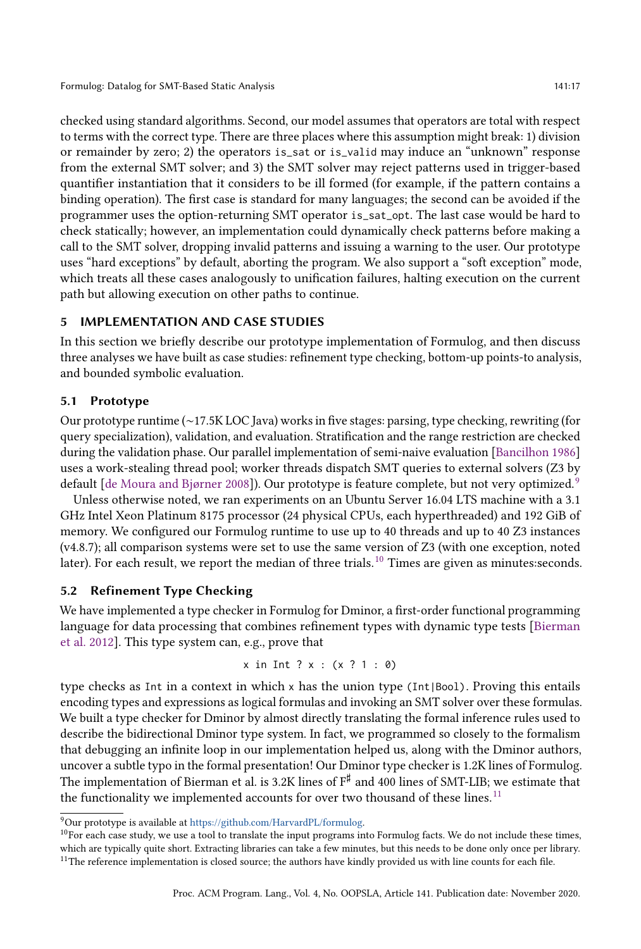checked using standard algorithms. Second, our model assumes that operators are total with respect to terms with the correct type. There are three places where this assumption might break: 1) division or remainder by zero; 2) the operators is\_sat or is\_valid may induce an "unknownž response from the external SMT solver; and 3) the SMT solver may reject patterns used in trigger-based quantifier instantiation that it considers to be ill formed (for example, if the pattern contains a binding operation). The first case is standard for many languages; the second can be avoided if the programmer uses the option-returning SMT operator is\_sat\_opt. The last case would be hard to check statically; however, an implementation could dynamically check patterns before making a call to the SMT solver, dropping invalid patterns and issuing a warning to the user. Our prototype uses "hard exceptions" by default, aborting the program. We also support a "soft exception" mode, which treats all these cases analogously to unification failures, halting execution on the current path but allowing execution on other paths to continue.

# <span id="page-16-0"></span>5 IMPLEMENTATION AND CASE STUDIES

In this section we briefly describe our prototype implementation of Formulog, and then discuss three analyses we have built as case studies: refinement type checking, bottom-up points-to analysis, and bounded symbolic evaluation.

# 5.1 Prototype

Our prototype runtime (∼17.5K LOC Java) works in five stages: parsing, type checking, rewriting (for query specialization), validation, and evaluation. Stratification and the range restriction are checked during the validation phase. Our parallel implementation of semi-naive evaluation [\[Bancilhon 1986\]](#page-27-12) uses a work-stealing thread pool; worker threads dispatch SMT queries to external solvers (Z3 by default  $\lceil$  de Moura and Bjørner 2008]). Our prototype is feature complete, but not very optimized.<sup>[9](#page-16-1)</sup>

Unless otherwise noted, we ran experiments on an Ubuntu Server 16.04 LTS machine with a 3.1 GHz Intel Xeon Platinum 8175 processor (24 physical CPUs, each hyperthreaded) and 192 GiB of memory. We configured our Formulog runtime to use up to 40 threads and up to 40 Z3 instances (v4.8.7); all comparison systems were set to use the same version of Z3 (with one exception, noted later). For each result, we report the median of three trials.<sup>[10](#page-16-2)</sup> Times are given as minutes:seconds.

# <span id="page-16-4"></span>5.2 Refinement Type Checking

We have implemented a type checker in Formulog for Dminor, a first-order functional programming language for data processing that combines refinement types with dynamic type tests [\[Bierman](#page-27-2) [et al. 2012\]](#page-27-2). This type system can, e.g., prove that

x in Int ? x : 
$$
(x ? 1 : 0)
$$

type checks as Int in a context in which x has the union type (Int|Bool). Proving this entails encoding types and expressions as logical formulas and invoking an SMT solver over these formulas. We built a type checker for Dminor by almost directly translating the formal inference rules used to describe the bidirectional Dminor type system. In fact, we programmed so closely to the formalism that debugging an infinite loop in our implementation helped us, along with the Dminor authors, uncover a subtle typo in the formal presentation! Our Dminor type checker is 1.2K lines of Formulog. The implementation of Bierman et al. is 3.2K lines of  $\texttt{F}^{\sharp}$  and 400 lines of SMT-LIB; we estimate that the functionality we implemented accounts for over two thousand of these lines. $11$ 

<span id="page-16-1"></span> $9$ Our prototype is available at [https://github.com/HarvardPL/formulog.](https://github.com/HarvardPL/formulog)

<span id="page-16-3"></span><span id="page-16-2"></span> $10$ For each case study, we use a tool to translate the input programs into Formulog facts. We do not include these times, which are typically quite short. Extracting libraries can take a few minutes, but this needs to be done only once per library. <sup>11</sup>The reference implementation is closed source; the authors have kindly provided us with line counts for each file.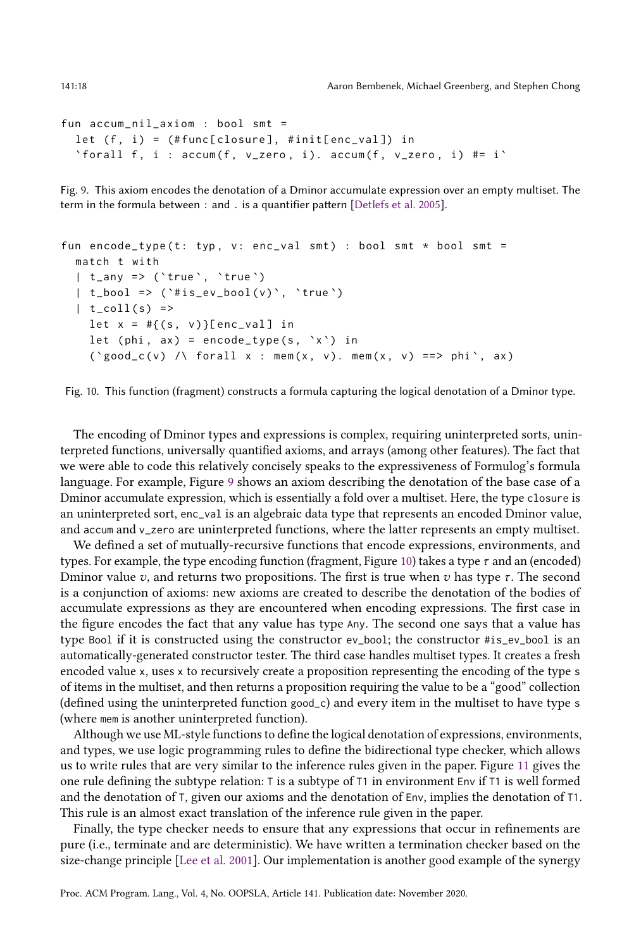```
fun accum_nil_axiom : bool smt =
 let (f, i) = (#func[closure], #init[enc_val]) in
 'forall f, i : accum(f, v_zero, i). accum(f, v_zero, i) #= i'
```
Fig. 9. This axiom encodes the denotation of a Dminor accumulate expression over an empty multiset. The term in the formula between : and . is a quantifier pattern [\[Detlefs et al. 2005\]](#page-28-8).

```
fun encode_type (t: typ, v: enc_val smt) : bool smt * bool smt =
  match t with
  | t_any => ( ` true `, `true `)
  | t_{\text{block}} = \rangle ('#is_ev_bool(v)', 'true')
  | t_{coll}(s) =>
    let x = #{(s, v)}[enc_val] in
    let (phi, ax) = encode_type(s, `x`) in
    ('good_c(v) /\\ for all x : mem(x, v). mem(x, v) ==> phi', ax)
```
Fig. 10. This function (fragment) constructs a formula capturing the logical denotation of a Dminor type.

The encoding of Dminor types and expressions is complex, requiring uninterpreted sorts, uninterpreted functions, universally quantified axioms, and arrays (among other features). The fact that we were able to code this relatively concisely speaks to the expressiveness of Formulog's formula language. For example, Figure [9](#page-17-0) shows an axiom describing the denotation of the base case of a Dminor accumulate expression, which is essentially a fold over a multiset. Here, the type closure is an uninterpreted sort, enc\_val is an algebraic data type that represents an encoded Dminor value, and accum and v\_zero are uninterpreted functions, where the latter represents an empty multiset.

We defined a set of mutually-recursive functions that encode expressions, environments, and types. For example, the type encoding function (fragment, Figure [10\)](#page-17-1) takes a type  $\tau$  and an (encoded) Dminor value v, and returns two propositions. The first is true when v has type  $\tau$ . The second is a conjunction of axioms: new axioms are created to describe the denotation of the bodies of accumulate expressions as they are encountered when encoding expressions. The first case in the figure encodes the fact that any value has type Any. The second one says that a value has type Bool if it is constructed using the constructor ev\_bool; the constructor #is\_ev\_bool is an automatically-generated constructor tester. The third case handles multiset types. It creates a fresh encoded value x, uses x to recursively create a proposition representing the encoding of the type s of items in the multiset, and then returns a proposition requiring the value to be a "goodž collection (defined using the uninterpreted function good\_c) and every item in the multiset to have type s (where mem is another uninterpreted function).

Although we use ML-style functions to define the logical denotation of expressions, environments, and types, we use logic programming rules to define the bidirectional type checker, which allows us to write rules that are very similar to the inference rules given in the paper. Figure [11](#page-18-0) gives the one rule defining the subtype relation: T is a subtype of T1 in environment Env if T1 is well formed and the denotation of T, given our axioms and the denotation of Env, implies the denotation of T1. This rule is an almost exact translation of the inference rule given in the paper.

Finally, the type checker needs to ensure that any expressions that occur in refinements are pure (i.e., terminate and are deterministic). We have written a termination checker based on the size-change principle [\[Lee et al.](#page-29-12) [2001\]](#page-29-12). Our implementation is another good example of the synergy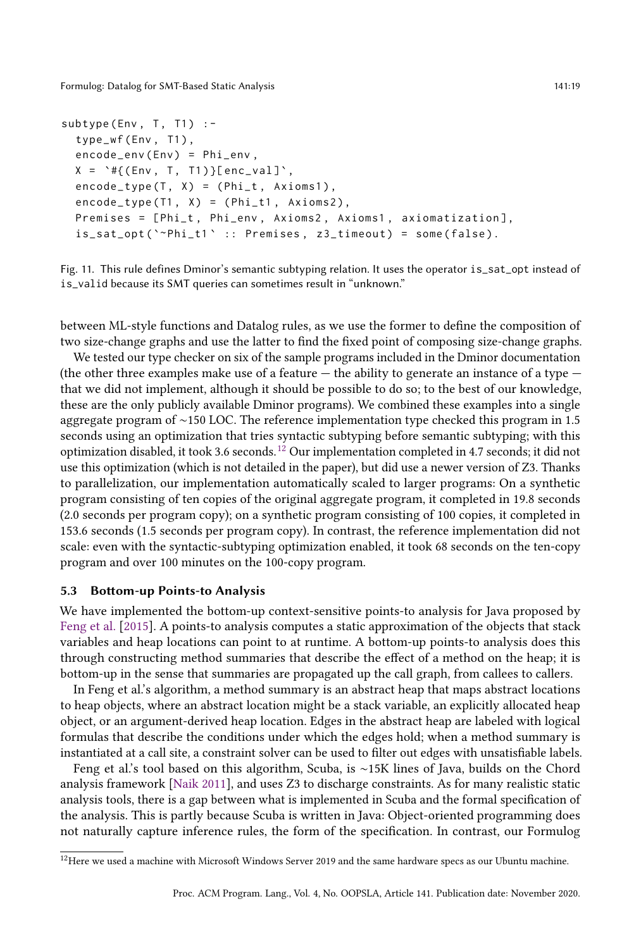```
subtype (Env, T, T1) :-
  type_wf(Env, T1),
  encode_env(Env) = Phi_env,
  X = \{ (Env, T, T1) \}[enc_val]',
  encode_type(T, X) = (Phi_t, Axioms1),encode_type (T1, X) = (Phi_t1, Axioms2),Premises = [Phi_t, Phi_env, Axioms2, Axioms1, axiomatization],
  is\_sat\_opt('~"Phi\_t1' :: Premises, z3\_timeout) = some(false).
```
Fig. 11. This rule defines Dminor's semantic subtyping relation. It uses the operator is\_sat\_opt instead of is\_valid because its SMT queries can sometimes result in "unknown."

between ML-style functions and Datalog rules, as we use the former to define the composition of two size-change graphs and use the latter to find the fixed point of composing size-change graphs.

We tested our type checker on six of the sample programs included in the Dminor documentation (the other three examples make use of a feature  $-$  the ability to generate an instance of a type  $$ that we did not implement, although it should be possible to do so; to the best of our knowledge, these are the only publicly available Dminor programs). We combined these examples into a single aggregate program of ∼150 LOC. The reference implementation type checked this program in 1.5 seconds using an optimization that tries syntactic subtyping before semantic subtyping; with this optimization disabled, it took 3.6 seconds.[12](#page-18-1) Our implementation completed in 4.7 seconds; it did not use this optimization (which is not detailed in the paper), but did use a newer version of Z3. Thanks to parallelization, our implementation automatically scaled to larger programs: On a synthetic program consisting of ten copies of the original aggregate program, it completed in 19.8 seconds (2.0 seconds per program copy); on a synthetic program consisting of 100 copies, it completed in 153.6 seconds (1.5 seconds per program copy). In contrast, the reference implementation did not scale: even with the syntactic-subtyping optimization enabled, it took 68 seconds on the ten-copy program and over 100 minutes on the 100-copy program.

## <span id="page-18-2"></span>5.3 Bottom-up Points-to Analysis

We have implemented the bottom-up context-sensitive points-to analysis for Java proposed by [Feng et al.](#page-28-4) [\[2015\]](#page-28-4). A points-to analysis computes a static approximation of the objects that stack variables and heap locations can point to at runtime. A bottom-up points-to analysis does this through constructing method summaries that describe the effect of a method on the heap; it is bottom-up in the sense that summaries are propagated up the call graph, from callees to callers.

In Feng et al.'s algorithm, a method summary is an abstract heap that maps abstract locations to heap objects, where an abstract location might be a stack variable, an explicitly allocated heap object, or an argument-derived heap location. Edges in the abstract heap are labeled with logical formulas that describe the conditions under which the edges hold; when a method summary is instantiated at a call site, a constraint solver can be used to filter out edges with unsatisfiable labels.

Feng et al.'s tool based on this algorithm, Scuba, is ∼15K lines of Java, builds on the Chord analysis framework [\[Naik 2011\]](#page-29-13), and uses Z3 to discharge constraints. As for many realistic static analysis tools, there is a gap between what is implemented in Scuba and the formal specification of the analysis. This is partly because Scuba is written in Java: Object-oriented programming does not naturally capture inference rules, the form of the specification. In contrast, our Formulog

<span id="page-18-1"></span><sup>&</sup>lt;sup>12</sup>Here we used a machine with Microsoft Windows Server 2019 and the same hardware specs as our Ubuntu machine.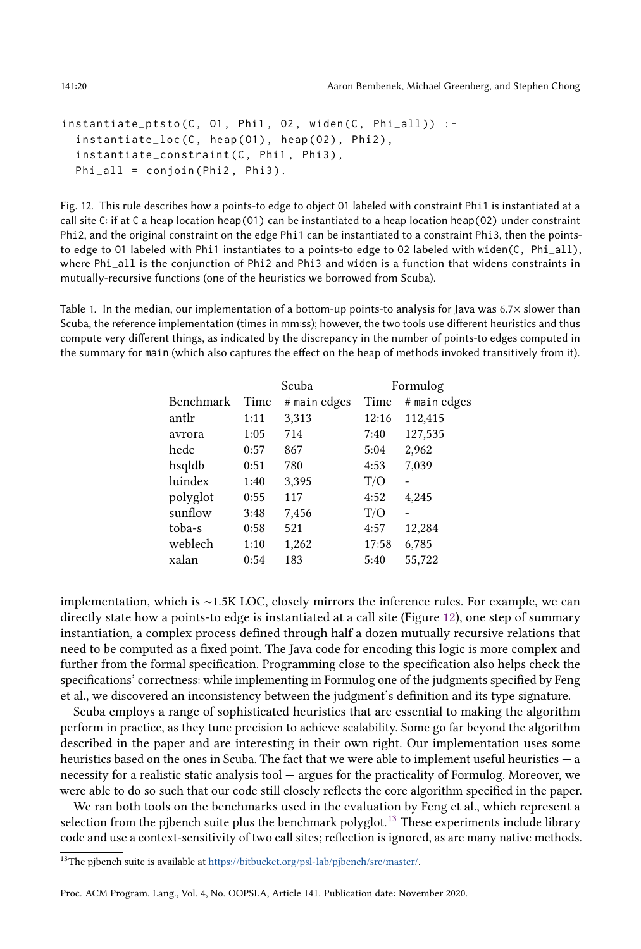141:20 Aaron Bembenek, Michael Greenberg, and Stephen Chong

```
instantiate_ptsto (C, 01, Phi1, 02, widen (C, Phi_all)) :-
 instantiate_loc(C, heap(01), heap(02), Phi2),
 instantiate_constraint (C, Phi1, Phi3),
 Phi_1 = conjoin (Phi2, Phi3).
```
Fig. 12. This rule describes how a points-to edge to object O1 labeled with constraint Phi1 is instantiated at a call site C: if at C a heap location heap(O1) can be instantiated to a heap location heap(O2) under constraint Phi2, and the original constraint on the edge Phi1 can be instantiated to a constraint Phi3, then the pointsto edge to O1 labeled with Phi1 instantiates to a points-to edge to O2 labeled with widen(C, Phi\_all), where Phi\_all is the conjunction of Phi2 and Phi3 and widen is a function that widens constraints in mutually-recursive functions (one of the heuristics we borrowed from Scuba).

<span id="page-19-2"></span>Table 1. In the median, our implementation of a bottom-up points-to analysis for Java was 6.7× slower than Scuba, the reference implementation (times in mm:ss); however, the two tools use different heuristics and thus compute very different things, as indicated by the discrepancy in the number of points-to edges computed in the summary for main (which also captures the effect on the heap of methods invoked transitively from it).

|           |      | Scuba        | Formulog |              |  |
|-----------|------|--------------|----------|--------------|--|
| Benchmark | Time | # main edges | Time     | # main edges |  |
| antlr     | 1:11 | 3,313        | 12:16    | 112,415      |  |
| avrora    | 1:05 | 714          | 7:40     | 127,535      |  |
| hedc      | 0:57 | 867          | 5:04     | 2,962        |  |
| hsqldb    | 0:51 | 780          | 4:53     | 7,039        |  |
| luindex   | 1:40 | 3,395        | T/O      |              |  |
| polyglot  | 0:55 | 117          | 4:52     | 4,245        |  |
| sunflow   | 3:48 | 7,456        | T/O      |              |  |
| toba-s    | 0:58 | 521          | 4:57     | 12,284       |  |
| weblech   | 1:10 | 1,262        | 17:58    | 6,785        |  |
| xalan     | 0:54 | 183          | 5:40     | 55.722       |  |

implementation, which is ∼1.5K LOC, closely mirrors the inference rules. For example, we can directly state how a points-to edge is instantiated at a call site (Figure [12\)](#page-19-0), one step of summary instantiation, a complex process defined through half a dozen mutually recursive relations that need to be computed as a fixed point. The Java code for encoding this logic is more complex and further from the formal specification. Programming close to the specification also helps check the specifications' correctness: while implementing in Formulog one of the judgments specified by Feng et al., we discovered an inconsistency between the judgment's definition and its type signature.

Scuba employs a range of sophisticated heuristics that are essential to making the algorithm perform in practice, as they tune precision to achieve scalability. Some go far beyond the algorithm described in the paper and are interesting in their own right. Our implementation uses some heuristics based on the ones in Scuba. The fact that we were able to implement useful heuristics  $-\alpha$ necessity for a realistic static analysis tool  $-$  argues for the practicality of Formulog. Moreover, we were able to do so such that our code still closely reflects the core algorithm specified in the paper.

We ran both tools on the benchmarks used in the evaluation by Feng et al., which represent a selection from the pjbench suite plus the benchmark polyglot.<sup>[13](#page-19-1)</sup> These experiments include library code and use a context-sensitivity of two call sites; reflection is ignored, as are many native methods.

Proc. ACM Program. Lang., Vol. 4, No. OOPSLA, Article 141. Publication date: November 2020.

<span id="page-19-1"></span><sup>13</sup>The pjbench suite is available at [https://bitbucket.org/psl-lab/pjbench/src/master/.](https://bitbucket.org/psl-lab/pjbench/src/master/)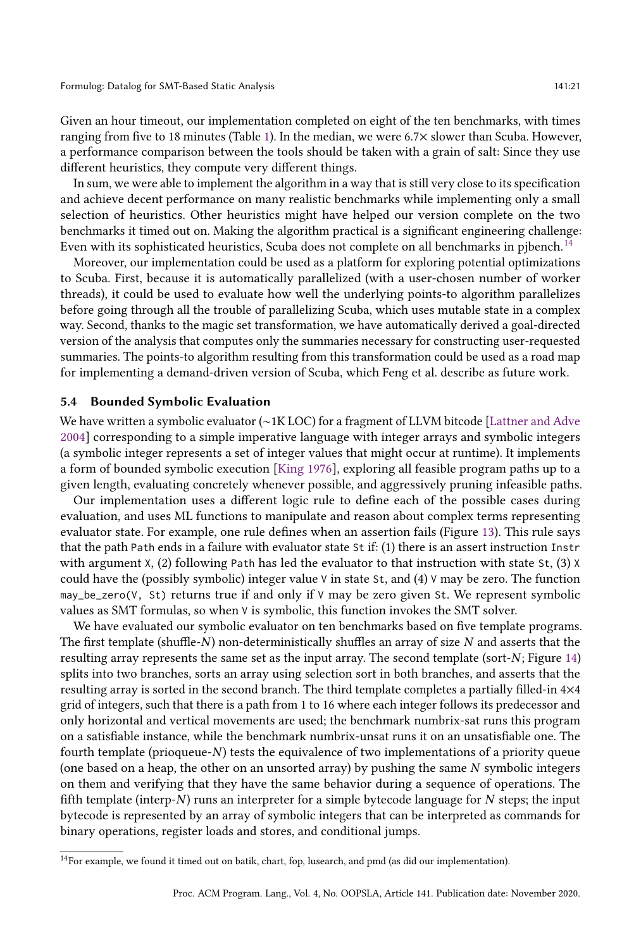Given an hour timeout, our implementation completed on eight of the ten benchmarks, with times ranging from five to 18 minutes (Table [1\)](#page-19-2). In the median, we were 6.7× slower than Scuba. However, a performance comparison between the tools should be taken with a grain of salt: Since they use different heuristics, they compute very different things.

In sum, we were able to implement the algorithm in a way that is still very close to its specification and achieve decent performance on many realistic benchmarks while implementing only a small selection of heuristics. Other heuristics might have helped our version complete on the two benchmarks it timed out on. Making the algorithm practical is a significant engineering challenge: Even with its sophisticated heuristics, Scuba does not complete on all benchmarks in pjbench.<sup>[14](#page-20-1)</sup>

Moreover, our implementation could be used as a platform for exploring potential optimizations to Scuba. First, because it is automatically parallelized (with a user-chosen number of worker threads), it could be used to evaluate how well the underlying points-to algorithm parallelizes before going through all the trouble of parallelizing Scuba, which uses mutable state in a complex way. Second, thanks to the magic set transformation, we have automatically derived a goal-directed version of the analysis that computes only the summaries necessary for constructing user-requested summaries. The points-to algorithm resulting from this transformation could be used as a road map for implementing a demand-driven version of Scuba, which Feng et al. describe as future work.

#### <span id="page-20-0"></span>5.4 Bounded Symbolic Evaluation

We have written a symbolic evaluator (∼1K LOC) for a fragment of LLVM bitcode [\[Lattner and Adve](#page-29-14) [2004\]](#page-29-14) corresponding to a simple imperative language with integer arrays and symbolic integers (a symbolic integer represents a set of integer values that might occur at runtime). It implements a form of bounded symbolic execution [\[King 1976\]](#page-29-11), exploring all feasible program paths up to a given length, evaluating concretely whenever possible, and aggressively pruning infeasible paths.

Our implementation uses a different logic rule to define each of the possible cases during evaluation, and uses ML functions to manipulate and reason about complex terms representing evaluator state. For example, one rule defines when an assertion fails (Figure [13\)](#page-21-0). This rule says that the path Path ends in a failure with evaluator state St if: (1) there is an assert instruction Instr with argument X, (2) following Path has led the evaluator to that instruction with state St, (3) X could have the (possibly symbolic) integer value  $\vee$  in state St, and (4)  $\vee$  may be zero. The function may\_be\_zero(V, St) returns true if and only if  $V$  may be zero given St. We represent symbolic values as SMT formulas, so when V is symbolic, this function invokes the SMT solver.

We have evaluated our symbolic evaluator on ten benchmarks based on five template programs. The first template (shuffle- $N$ ) non-deterministically shuffles an array of size  $N$  and asserts that the resulting array represents the same set as the input array. The second template (sort-N; Figure [14\)](#page-21-0) splits into two branches, sorts an array using selection sort in both branches, and asserts that the resulting array is sorted in the second branch. The third template completes a partially filled-in 4×4 grid of integers, such that there is a path from 1 to 16 where each integer follows its predecessor and only horizontal and vertical movements are used; the benchmark numbrix-sat runs this program on a satisfiable instance, while the benchmark numbrix-unsat runs it on an unsatisfiable one. The fourth template (prioqueue-N) tests the equivalence of two implementations of a priority queue (one based on a heap, the other on an unsorted array) by pushing the same N symbolic integers on them and verifying that they have the same behavior during a sequence of operations. The fifth template (interp-N) runs an interpreter for a simple bytecode language for  $N$  steps; the input bytecode is represented by an array of symbolic integers that can be interpreted as commands for binary operations, register loads and stores, and conditional jumps.

<span id="page-20-1"></span> $^{14}\rm{For}$  example, we found it timed out on batik, chart, fop, lusearch, and pmd (as did our implementation).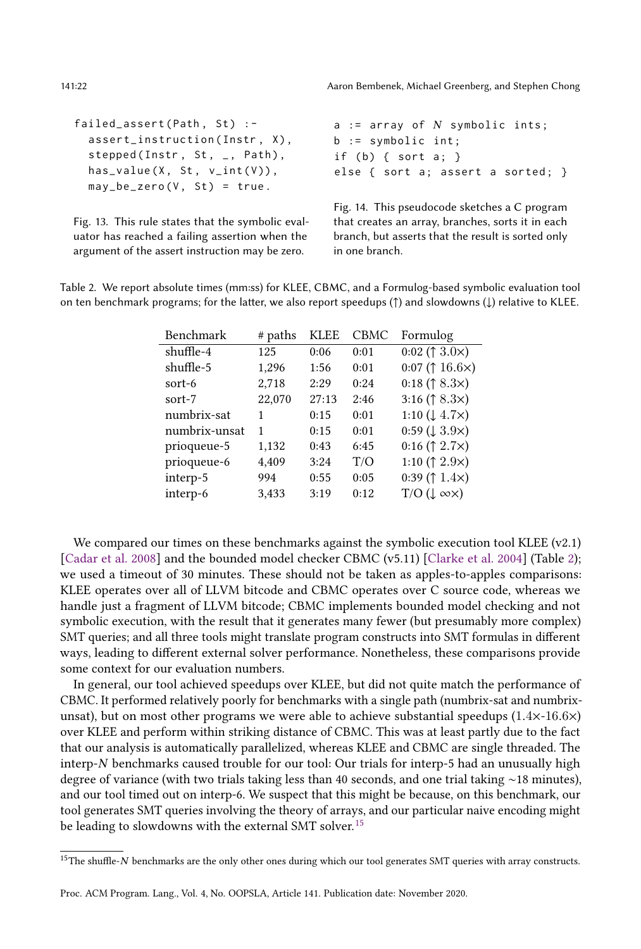```
failed_assert (Path, St) :-
  assert_instruction ( Instr , X),
  stepped (Instr, St, _, Path),
  has_value(X, St, v(int(V)),may_b = zero (V, St) = true.Fig. 13. This rule states that the symbolic eval-
                                          a := array of N symbolicints;b := symbolic int ;
                                          if (b) { sort a; }
                                          else { sort a; assert a sorted; }
                                          Fig. 14. This pseudocode sketches a C program
                                          that creates an array, branches, sorts it in each
```
uator has reached a failing assertion when the argument of the assert instruction may be zero.

branch, but asserts that the result is sorted only in one branch.

<span id="page-21-1"></span>Table 2. We report absolute times (mm:ss) for KLEE, CBMC, and a Formulog-based symbolic evaluation tool on ten benchmark programs; for the latter, we also report speedups (↑) and slowdowns (↓) relative to KLEE.

| Benchmark     | # paths | <b>KLEE</b> | <b>CBMC</b> | Formulog                          |
|---------------|---------|-------------|-------------|-----------------------------------|
| shuffle-4     | 125     | 0:06        | 0:01        | 0:02 ( $\uparrow$ 3.0 $\times$ )  |
| shuffle-5     | 1,296   | 1:56        | 0:01        | 0:07 ( $\uparrow$ 16.6 $\times$ ) |
| sort-6        | 2,718   | 2:29        | 0:24        | 0:18 ( $\uparrow$ 8.3 $\times$ )  |
| sort-7        | 22,070  | 27:13       | 2:46        | 3:16 ( $\uparrow$ 8.3 $\times$ )  |
| numbrix-sat   | 1       | 0:15        | 0:01        | 1:10 $(1.4.7\times)$              |
| numbrix-unsat | 1       | 0:15        | 0:01        | $0.59 \, (\downarrow 3.9 \times)$ |
| prioqueue-5   | 1,132   | 0:43        | 6:45        | 0:16 ( $\uparrow$ 2.7 $\times$ )  |
| prioqueue-6   | 4,409   | 3:24        | T/O         | 1:10 ( $\uparrow$ 2.9 $\times$ )  |
| interp-5      | 994     | 0:55        | 0:05        | 0:39 ( $\uparrow$ 1.4 $\times$ )  |
| interp-6      | 3,433   | 3:19        | 0:12        | $T/O$ ( $\downarrow \infty$ )     |

We compared our times on these benchmarks against the symbolic execution tool KLEE  $(v2.1)$ [\[Cadar et al.](#page-27-0) [2008\]](#page-27-0) and the bounded model checker CBMC (v5.11) [\[Clarke et al.](#page-27-13) [2004\]](#page-27-13) (Table [2\)](#page-21-1); we used a timeout of 30 minutes. These should not be taken as apples-to-apples comparisons: KLEE operates over all of LLVM bitcode and CBMC operates over C source code, whereas we handle just a fragment of LLVM bitcode; CBMC implements bounded model checking and not symbolic execution, with the result that it generates many fewer (but presumably more complex) SMT queries; and all three tools might translate program constructs into SMT formulas in different ways, leading to different external solver performance. Nonetheless, these comparisons provide some context for our evaluation numbers.

In general, our tool achieved speedups over KLEE, but did not quite match the performance of CBMC. It performed relatively poorly for benchmarks with a single path (numbrix-sat and numbrixunsat), but on most other programs we were able to achieve substantial speedups  $(1.4\times16.6\times)$ over KLEE and perform within striking distance of CBMC. This was at least partly due to the fact that our analysis is automatically parallelized, whereas KLEE and CBMC are single threaded. The interp-N benchmarks caused trouble for our tool: Our trials for interp-5 had an unusually high degree of variance (with two trials taking less than 40 seconds, and one trial taking ∼18 minutes), and our tool timed out on interp-6. We suspect that this might be because, on this benchmark, our tool generates SMT queries involving the theory of arrays, and our particular naive encoding might be leading to slowdowns with the external SMT solver.<sup>[15](#page-21-2)</sup>

<span id="page-21-2"></span><sup>&</sup>lt;sup>15</sup>The shuffle-N benchmarks are the only other ones during which our tool generates SMT queries with array constructs.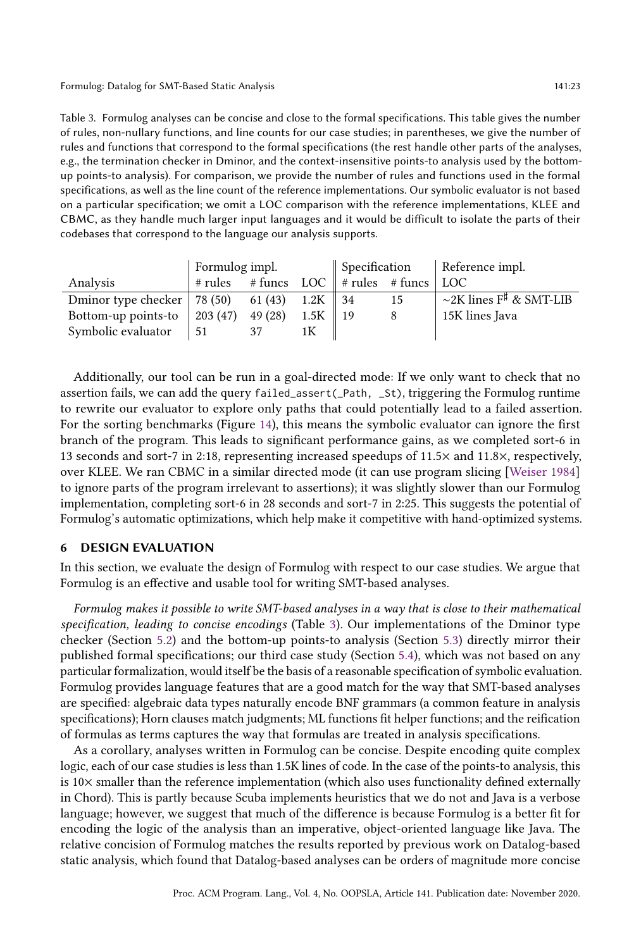<span id="page-22-1"></span>Table 3. Formulog analyses can be concise and close to the formal specifications. This table gives the number of rules, non-nullary functions, and line counts for our case studies; in parentheses, we give the number of rules and functions that correspond to the formal specifications (the rest handle other parts of the analyses, e.g., the termination checker in Dminor, and the context-insensitive points-to analysis used by the bottomup points-to analysis). For comparison, we provide the number of rules and functions used in the formal specifications, as well as the line count of the reference implementations. Our symbolic evaluator is not based on a particular specification; we omit a LOC comparison with the reference implementations, KLEE and CBMC, as they handle much larger input languages and it would be difficult to isolate the parts of their codebases that correspond to the language our analysis supports.

|                                | Formulog impl.                                            |         |      | $\parallel$ Specification $\parallel$ Reference impl. |    |                              |
|--------------------------------|-----------------------------------------------------------|---------|------|-------------------------------------------------------|----|------------------------------|
| Analysis                       | $\#$ rules $\#$ funcs LOC $\ $ $\#$ rules $\#$ funcs $\ $ |         |      |                                                       |    | LOC                          |
| Dminor type checker   $78(50)$ |                                                           | 61 (43) | 1.2K | -34                                                   | 15 | $\sim$ 2K lines F# & SMT-LIB |
| Bottom-up points-to            | $203(47)$ 49 (28)                                         |         | 1.5K | 19                                                    |    | 15K lines Java               |
| Symbolic evaluator             | -51                                                       |         |      |                                                       |    |                              |

Additionally, our tool can be run in a goal-directed mode: If we only want to check that no assertion fails, we can add the query failed\_assert(\_Path, \_St), triggering the Formulog runtime to rewrite our evaluator to explore only paths that could potentially lead to a failed assertion. For the sorting benchmarks (Figure [14\)](#page-21-0), this means the symbolic evaluator can ignore the first branch of the program. This leads to significant performance gains, as we completed sort-6 in 13 seconds and sort-7 in 2:18, representing increased speedups of 11.5× and 11.8×, respectively, over KLEE. We ran CBMC in a similar directed mode (it can use program slicing [\[Weiser 1984\]](#page-30-5) to ignore parts of the program irrelevant to assertions); it was slightly slower than our Formulog implementation, completing sort-6 in 28 seconds and sort-7 in 2:25. This suggests the potential of Formulog's automatic optimizations, which help make it competitive with hand-optimized systems.

# <span id="page-22-0"></span>6 DESIGN EVALUATION

In this section, we evaluate the design of Formulog with respect to our case studies. We argue that Formulog is an effective and usable tool for writing SMT-based analyses.

Formulog makes it possible to write SMT-based analyses in a way that is close to their mathematical specification, leading to concise encodings (Table [3\)](#page-22-1). Our implementations of the Dminor type checker (Section [5.2\)](#page-16-4) and the bottom-up points-to analysis (Section [5.3\)](#page-18-2) directly mirror their published formal specifications; our third case study (Section [5.4\)](#page-20-0), which was not based on any particular formalization, would itself be the basis of a reasonable specification of symbolic evaluation. Formulog provides language features that are a good match for the way that SMT-based analyses are specified: algebraic data types naturally encode BNF grammars (a common feature in analysis specifications); Horn clauses match judgments; ML functions fit helper functions; and the reification of formulas as terms captures the way that formulas are treated in analysis specifications.

As a corollary, analyses written in Formulog can be concise. Despite encoding quite complex logic, each of our case studies is less than 1.5K lines of code. In the case of the points-to analysis, this is  $10\times$  smaller than the reference implementation (which also uses functionality defined externally in Chord). This is partly because Scuba implements heuristics that we do not and Java is a verbose language; however, we suggest that much of the difference is because Formulog is a better fit for encoding the logic of the analysis than an imperative, object-oriented language like Java. The relative concision of Formulog matches the results reported by previous work on Datalog-based static analysis, which found that Datalog-based analyses can be orders of magnitude more concise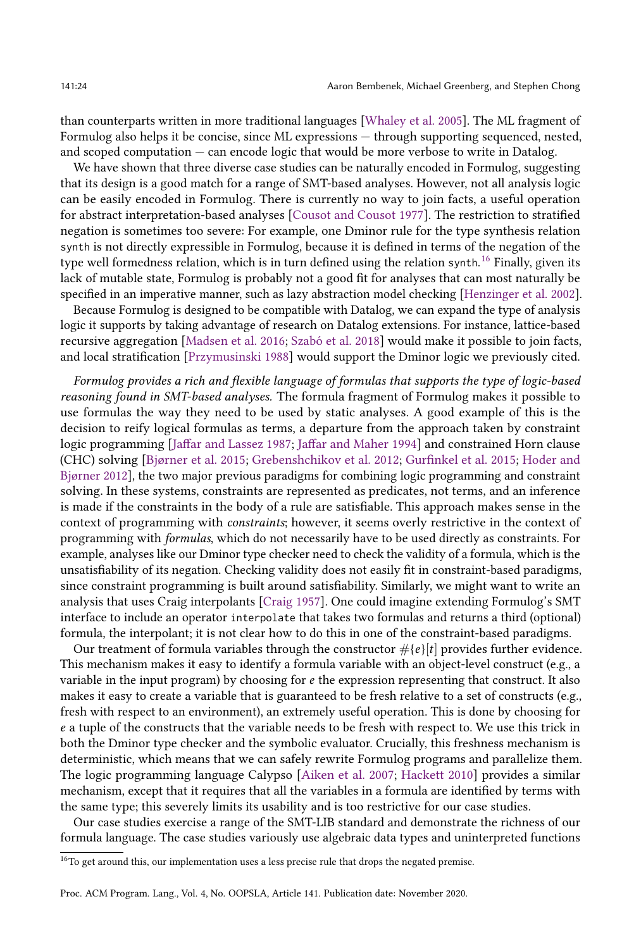than counterparts written in more traditional languages [\[Whaley et al.](#page-30-3) [2005\]](#page-30-3). The ML fragment of Formulog also helps it be concise, since ML expressions — through supporting sequenced, nested, and scoped computation  $-$  can encode logic that would be more verbose to write in Datalog.

We have shown that three diverse case studies can be naturally encoded in Formulog, suggesting that its design is a good match for a range of SMT-based analyses. However, not all analysis logic can be easily encoded in Formulog. There is currently no way to join facts, a useful operation for abstract interpretation-based analyses [\[Cousot and Cousot 1977\]](#page-28-9). The restriction to stratified negation is sometimes too severe: For example, one Dminor rule for the type synthesis relation synth is not directly expressible in Formulog, because it is defined in terms of the negation of the type well formedness relation, which is in turn defined using the relation synth.<sup>[16](#page-23-0)</sup> Finally, given its lack of mutable state, Formulog is probably not a good fit for analyses that can most naturally be specified in an imperative manner, such as lazy abstraction model checking [\[Henzinger et al.](#page-28-10) [2002\]](#page-28-10).

Because Formulog is designed to be compatible with Datalog, we can expand the type of analysis logic it supports by taking advantage of research on Datalog extensions. For instance, lattice-based recursive aggregation [\[Madsen et al.](#page-29-9) [2016;](#page-29-9) [Szabó et al.](#page-29-10) [2018\]](#page-29-10) would make it possible to join facts, and local stratification [\[Przymusinski 1988\]](#page-29-8) would support the Dminor logic we previously cited.

Formulog provides a rich and flexible language of formulas that supports the type of logic-based reasoning found in SMT-based analyses. The formula fragment of Formulog makes it possible to use formulas the way they need to be used by static analyses. A good example of this is the decision to reify logical formulas as terms, a departure from the approach taken by constraint logic programming [\[Jaffar and Lassez 1987;](#page-29-15) [Jaffar and Maher 1994\]](#page-29-16) and constrained Horn clause (CHC) solving [Bjørner et al. [2015;](#page-28-12) [Grebenshchikov et al.](#page-28-11) [2012;](#page-28-11) [Gurfinkel et al.](#page-28-12) 2015; [Hoder and](#page-28-13) [Bjùrner 2012\]](#page-28-13), the two major previous paradigms for combining logic programming and constraint solving. In these systems, constraints are represented as predicates, not terms, and an inference is made if the constraints in the body of a rule are satisfiable. This approach makes sense in the context of programming with constraints; however, it seems overly restrictive in the context of programming with formulas, which do not necessarily have to be used directly as constraints. For example, analyses like our Dminor type checker need to check the validity of a formula, which is the unsatisfiability of its negation. Checking validity does not easily fit in constraint-based paradigms, since constraint programming is built around satisfiability. Similarly, we might want to write an analysis that uses Craig interpolants [\[Craig 1957\]](#page-28-14). One could imagine extending Formulog's SMT interface to include an operator interpolate that takes two formulas and returns a third (optional) formula, the interpolant; it is not clear how to do this in one of the constraint-based paradigms.

Our treatment of formula variables through the constructor  $\#{e}{t}$  provides further evidence. This mechanism makes it easy to identify a formula variable with an object-level construct (e.g., a variable in the input program) by choosing for  $e$  the expression representing that construct. It also makes it easy to create a variable that is guaranteed to be fresh relative to a set of constructs (e.g., fresh with respect to an environment), an extremely useful operation. This is done by choosing for e a tuple of the constructs that the variable needs to be fresh with respect to. We use this trick in both the Dminor type checker and the symbolic evaluator. Crucially, this freshness mechanism is deterministic, which means that we can safely rewrite Formulog programs and parallelize them. The logic programming language Calypso [\[Aiken et al.](#page-27-15) [2007;](#page-27-15) [Hackett 2010\]](#page-28-15) provides a similar mechanism, except that it requires that all the variables in a formula are identified by terms with the same type; this severely limits its usability and is too restrictive for our case studies.

Our case studies exercise a range of the SMT-LIB standard and demonstrate the richness of our formula language. The case studies variously use algebraic data types and uninterpreted functions

<span id="page-23-0"></span><sup>&</sup>lt;sup>16</sup>To get around this, our implementation uses a less precise rule that drops the negated premise.

Proc. ACM Program. Lang., Vol. 4, No. OOPSLA, Article 141. Publication date: November 2020.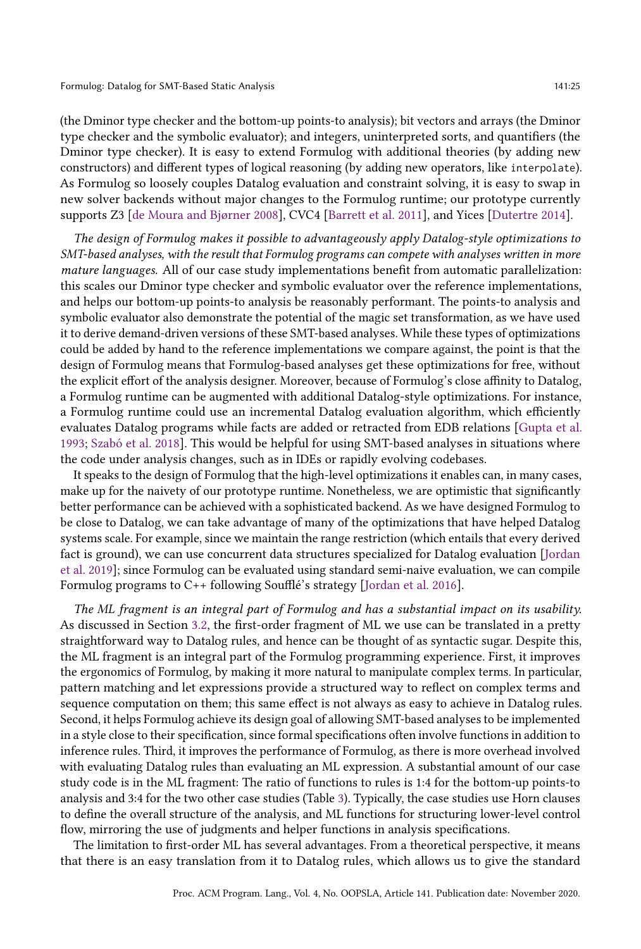(the Dminor type checker and the bottom-up points-to analysis); bit vectors and arrays (the Dminor type checker and the symbolic evaluator); and integers, uninterpreted sorts, and quantifiers (the Dminor type checker). It is easy to extend Formulog with additional theories (by adding new constructors) and different types of logical reasoning (by adding new operators, like interpolate). As Formulog so loosely couples Datalog evaluation and constraint solving, it is easy to swap in new solver backends without major changes to the Formulog runtime; our prototype currently supports Z3 [de Moura and Bjørner 2008], CVC4 [\[Barrett et al. 2011\]](#page-27-10), and Yices [\[Dutertre 2014\]](#page-28-16).

The design of Formulog makes it possible to advantageously apply Datalog-style optimizations to SMT-based analyses, with the result that Formulog programs can compete with analyses written in more mature languages. All of our case study implementations benefit from automatic parallelization: this scales our Dminor type checker and symbolic evaluator over the reference implementations, and helps our bottom-up points-to analysis be reasonably performant. The points-to analysis and symbolic evaluator also demonstrate the potential of the magic set transformation, as we have used it to derive demand-driven versions of these SMT-based analyses. While these types of optimizations could be added by hand to the reference implementations we compare against, the point is that the design of Formulog means that Formulog-based analyses get these optimizations for free, without the explicit effort of the analysis designer. Moreover, because of Formulog's close affinity to Datalog, a Formulog runtime can be augmented with additional Datalog-style optimizations. For instance, a Formulog runtime could use an incremental Datalog evaluation algorithm, which efficiently evaluates Datalog programs while facts are added or retracted from EDB relations [\[Gupta et al.](#page-28-17) [1993;](#page-28-17) [Szabó et al.](#page-29-10) [2018\]](#page-29-10). This would be helpful for using SMT-based analyses in situations where the code under analysis changes, such as in IDEs or rapidly evolving codebases.

It speaks to the design of Formulog that the high-level optimizations it enables can, in many cases, make up for the naivety of our prototype runtime. Nonetheless, we are optimistic that significantly better performance can be achieved with a sophisticated backend. As we have designed Formulog to be close to Datalog, we can take advantage of many of the optimizations that have helped Datalog systems scale. For example, since we maintain the range restriction (which entails that every derived fact is ground), we can use concurrent data structures specialized for Datalog evaluation [\[Jordan](#page-29-17) [et al.](#page-29-17) [2019\]](#page-29-17); since Formulog can be evaluated using standard semi-naive evaluation, we can compile Formulog programs to C++ following Soufflé's strategy [\[Jordan et al. 2016\]](#page-29-2).

The ML fragment is an integral part of Formulog and has a substantial impact on its usability. As discussed in Section [3.2,](#page-6-0) the first-order fragment of ML we use can be translated in a pretty straightforward way to Datalog rules, and hence can be thought of as syntactic sugar. Despite this, the ML fragment is an integral part of the Formulog programming experience. First, it improves the ergonomics of Formulog, by making it more natural to manipulate complex terms. In particular, pattern matching and let expressions provide a structured way to reflect on complex terms and sequence computation on them; this same effect is not always as easy to achieve in Datalog rules. Second, it helps Formulog achieve its design goal of allowing SMT-based analyses to be implemented in a style close to their specification, since formal specifications often involve functions in addition to inference rules. Third, it improves the performance of Formulog, as there is more overhead involved with evaluating Datalog rules than evaluating an ML expression. A substantial amount of our case study code is in the ML fragment: The ratio of functions to rules is 1:4 for the bottom-up points-to analysis and 3:4 for the two other case studies (Table [3\)](#page-22-1). Typically, the case studies use Horn clauses to define the overall structure of the analysis, and ML functions for structuring lower-level control flow, mirroring the use of judgments and helper functions in analysis specifications.

The limitation to first-order ML has several advantages. From a theoretical perspective, it means that there is an easy translation from it to Datalog rules, which allows us to give the standard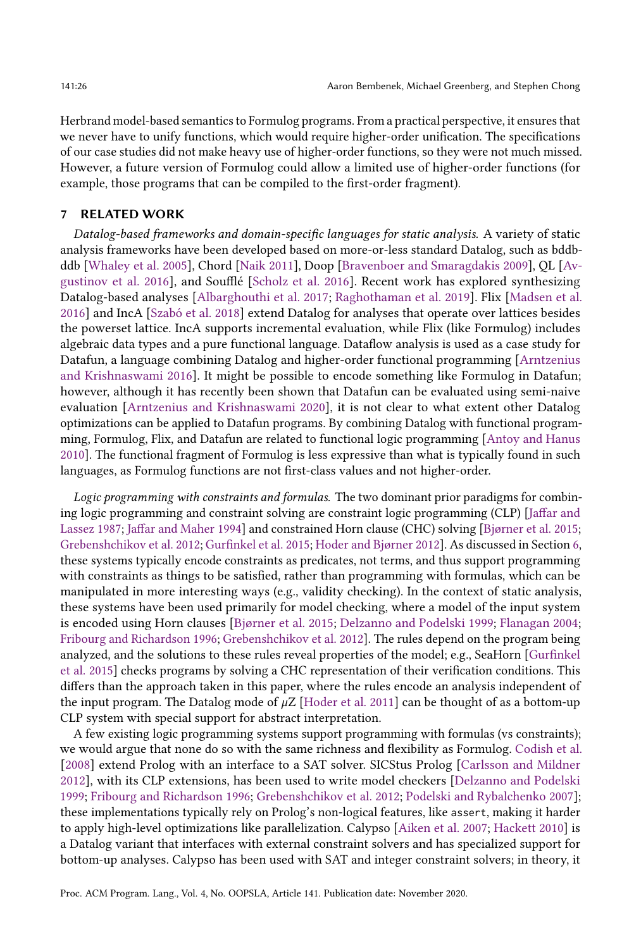Herbrand model-based semantics to Formulog programs. From a practical perspective, it ensures that we never have to unify functions, which would require higher-order unification. The specifications of our case studies did not make heavy use of higher-order functions, so they were not much missed. However, a future version of Formulog could allow a limited use of higher-order functions (for example, those programs that can be compiled to the first-order fragment).

#### 7 RELATED WORK

Datalog-based frameworks and domain-specific languages for static analysis. A variety of static analysis frameworks have been developed based on more-or-less standard Datalog, such as bddbddb [\[Whaley et al.](#page-30-3) [2005\]](#page-30-3), Chord [\[Naik 2011\]](#page-29-13), Doop [\[Bravenboer and Smaragdakis 2009\]](#page-27-4), QL [\[Av](#page-27-16)[gustinov et al.](#page-27-16) [2016\]](#page-27-16), and Soufflé [\[Scholz et al.](#page-29-6) [2016\]](#page-29-6). Recent work has explored synthesizing Datalog-based analyses [\[Albarghouthi et al.](#page-27-17) [2017;](#page-27-17) [Raghothaman et al.](#page-29-18) [2019\]](#page-29-18). Flix [\[Madsen et al.](#page-29-9) [2016\]](#page-29-9) and IncA [\[Szabó et al.](#page-29-10) [2018\]](#page-29-10) extend Datalog for analyses that operate over lattices besides the powerset lattice. IncA supports incremental evaluation, while Flix (like Formulog) includes algebraic data types and a pure functional language. Dataflow analysis is used as a case study for Datafun, a language combining Datalog and higher-order functional programming [\[Arntzenius](#page-27-18) [and Krishnaswami 2016\]](#page-27-18). It might be possible to encode something like Formulog in Datafun; however, although it has recently been shown that Datafun can be evaluated using semi-naive evaluation [\[Arntzenius and Krishnaswami 2020\]](#page-27-19), it is not clear to what extent other Datalog optimizations can be applied to Datafun programs. By combining Datalog with functional programming, Formulog, Flix, and Datafun are related to functional logic programming [\[Antoy and Hanus](#page-27-20) [2010\]](#page-27-20). The functional fragment of Formulog is less expressive than what is typically found in such languages, as Formulog functions are not first-class values and not higher-order.

Logic programming with constraints and formulas. The two dominant prior paradigms for combining logic programming and constraint solving are constraint logic programming (CLP) [\[Jaffar and](#page-29-15) [Lassez 1987;](#page-29-15) [Jaffar and Maher 1994\]](#page-29-16) and constrained Horn clause (CHC) solving [Bjørner et al. [2015;](#page-27-14) [Grebenshchikov et al.](#page-28-11) [2012;](#page-28-11) [Gurfinkel et al.](#page-28-12) [2015;](#page-28-12) [Hoder and Bjùrner 2012\]](#page-28-13). As discussed in Section [6,](#page-22-0) these systems typically encode constraints as predicates, not terms, and thus support programming with constraints as things to be satisfied, rather than programming with formulas, which can be manipulated in more interesting ways (e.g., validity checking). In the context of static analysis, these systems have been used primarily for model checking, where a model of the input system is encoded using Horn clauses [Bjørner et al. [2015;](#page-27-14) [Delzanno and Podelski 1999;](#page-28-18) [Flanagan 2004;](#page-28-19) [Fribourg and Richardson 1996;](#page-28-20) [Grebenshchikov et al.](#page-28-11) [2012\]](#page-28-11). The rules depend on the program being analyzed, and the solutions to these rules reveal properties of the model; e.g., SeaHorn [\[Gurfinkel](#page-28-12) [et al.](#page-28-12) [2015\]](#page-28-12) checks programs by solving a CHC representation of their verification conditions. This differs than the approach taken in this paper, where the rules encode an analysis independent of the input program. The Datalog mode of  $\mu Z$  [\[Hoder et al. 2011\]](#page-28-21) can be thought of as a bottom-up CLP system with special support for abstract interpretation.

A few existing logic programming systems support programming with formulas (vs constraints); we would argue that none do so with the same richness and flexibility as Formulog. [Codish et al.](#page-28-22) [\[2008\]](#page-28-22) extend Prolog with an interface to a SAT solver. SICStus Prolog [\[Carlsson and Mildner](#page-27-21) [2012\]](#page-27-21), with its CLP extensions, has been used to write model checkers [\[Delzanno and Podelski](#page-28-18) [1999;](#page-28-18) [Fribourg and Richardson 1996;](#page-28-20) [Grebenshchikov et al.](#page-28-11) [2012;](#page-28-11) [Podelski and Rybalchenko 2007\]](#page-29-19); these implementations typically rely on Prolog's non-logical features, like assert, making it harder to apply high-level optimizations like parallelization. Calypso [\[Aiken et al.](#page-27-15) [2007;](#page-27-15) [Hackett 2010\]](#page-28-15) is a Datalog variant that interfaces with external constraint solvers and has specialized support for bottom-up analyses. Calypso has been used with SAT and integer constraint solvers; in theory, it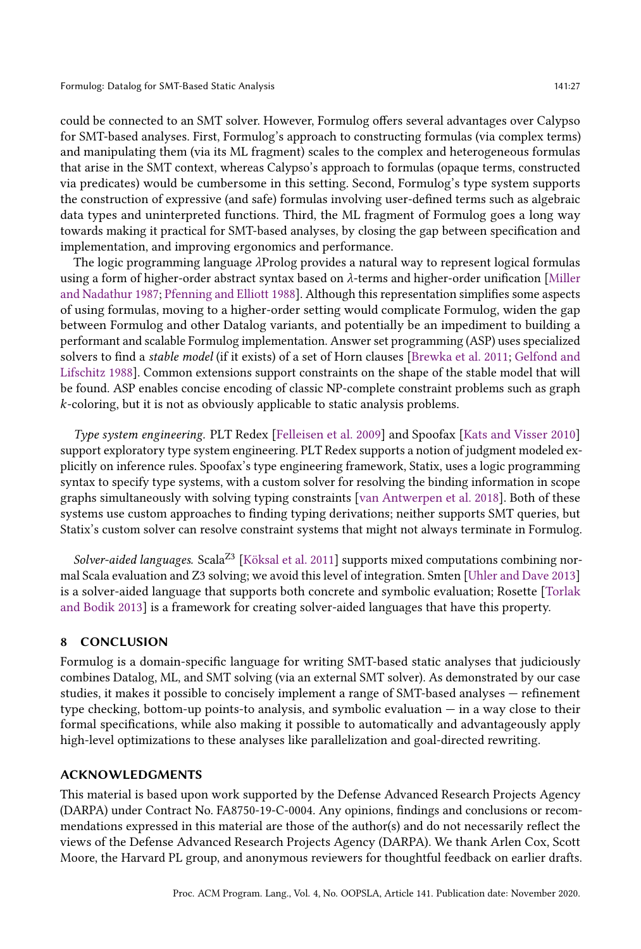could be connected to an SMT solver. However, Formulog offers several advantages over Calypso for SMT-based analyses. First, Formulog's approach to constructing formulas (via complex terms) and manipulating them (via its ML fragment) scales to the complex and heterogeneous formulas that arise in the SMT context, whereas Calypso's approach to formulas (opaque terms, constructed via predicates) would be cumbersome in this setting. Second, Formulog's type system supports the construction of expressive (and safe) formulas involving user-defined terms such as algebraic data types and uninterpreted functions. Third, the ML fragment of Formulog goes a long way towards making it practical for SMT-based analyses, by closing the gap between specification and implementation, and improving ergonomics and performance.

The logic programming language λProlog provides a natural way to represent logical formulas using a form of higher-order abstract syntax based on  $\lambda$ -terms and higher-order unification [\[Miller](#page-29-20) [and Nadathur 1987;](#page-29-20) [Pfenning and Elliott 1988\]](#page-29-21). Although this representation simplifies some aspects of using formulas, moving to a higher-order setting would complicate Formulog, widen the gap between Formulog and other Datalog variants, and potentially be an impediment to building a performant and scalable Formulog implementation. Answer set programming (ASP) uses specialized solvers to find a stable model (if it exists) of a set of Horn clauses [\[Brewka et al.](#page-27-22) [2011;](#page-27-22) [Gelfond and](#page-28-23) [Lifschitz 1988\]](#page-28-23). Common extensions support constraints on the shape of the stable model that will be found. ASP enables concise encoding of classic NP-complete constraint problems such as graph k-coloring, but it is not as obviously applicable to static analysis problems.

Type system engineering. PLT Redex [\[Felleisen et al.](#page-28-24) [2009\]](#page-28-24) and Spoofax [\[Kats and Visser 2010\]](#page-29-22) support exploratory type system engineering. PLT Redex supports a notion of judgment modeled explicitly on inference rules. Spoofax's type engineering framework, Statix, uses a logic programming syntax to specify type systems, with a custom solver for resolving the binding information in scope graphs simultaneously with solving typing constraints [\[van Antwerpen et al.](#page-30-6) [2018\]](#page-30-6). Both of these systems use custom approaches to finding typing derivations; neither supports SMT queries, but Statix's custom solver can resolve constraint systems that might not always terminate in Formulog.

Solver-aided languages. Scala<sup>Z3</sup> [\[Köksal et al.](#page-29-23) [2011\]](#page-29-23) supports mixed computations combining normal Scala evaluation and Z3 solving; we avoid this level of integration. Smten [\[Uhler and Dave 2013\]](#page-30-7) is a solver-aided language that supports both concrete and symbolic evaluation; Rosette [\[Torlak](#page-30-8) [and Bodik 2013\]](#page-30-8) is a framework for creating solver-aided languages that have this property.

## 8 CONCLUSION

Formulog is a domain-specific language for writing SMT-based static analyses that judiciously combines Datalog, ML, and SMT solving (via an external SMT solver). As demonstrated by our case studies, it makes it possible to concisely implement a range of SMT-based analyses  $-$  refinement type checking, bottom-up points-to analysis, and symbolic evaluation  $-\text{ in a way close to their}$ formal specifications, while also making it possible to automatically and advantageously apply high-level optimizations to these analyses like parallelization and goal-directed rewriting.

#### ACKNOWLEDGMENTS

This material is based upon work supported by the Defense Advanced Research Projects Agency (DARPA) under Contract No. FA8750-19-C-0004. Any opinions, findings and conclusions or recommendations expressed in this material are those of the author(s) and do not necessarily reflect the views of the Defense Advanced Research Projects Agency (DARPA). We thank Arlen Cox, Scott Moore, the Harvard PL group, and anonymous reviewers for thoughtful feedback on earlier drafts.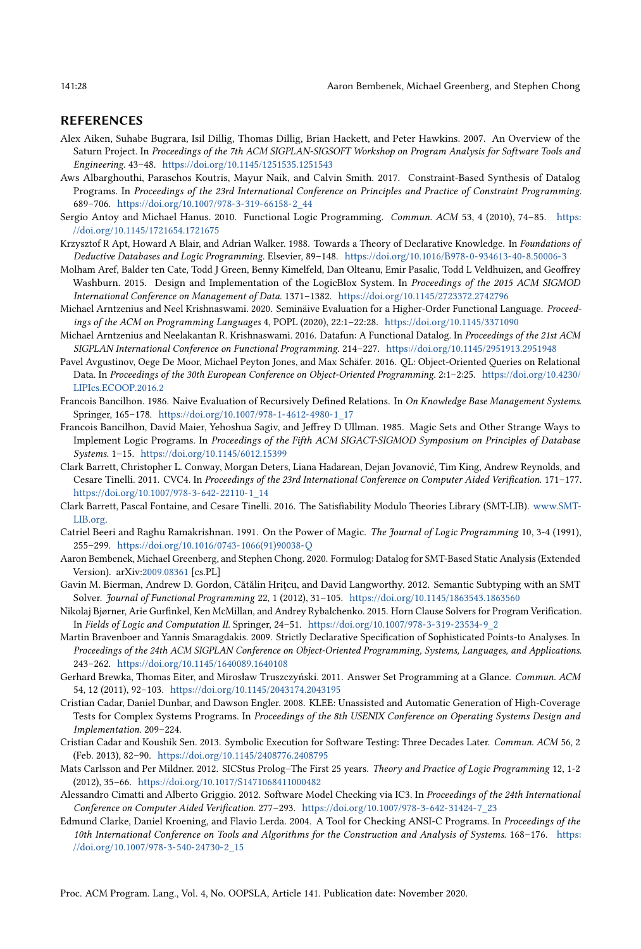#### REFERENCES

- <span id="page-27-15"></span>Alex Aiken, Suhabe Bugrara, Isil Dillig, Thomas Dillig, Brian Hackett, and Peter Hawkins. 2007. An Overview of the Saturn Project. In Proceedings of the 7th ACM SIGPLAN-SIGSOFT Workshop on Program Analysis for Software Tools and Engineering. 43-48. <https://doi.org/10.1145/1251535.1251543>
- <span id="page-27-17"></span>Aws Albarghouthi, Paraschos Koutris, Mayur Naik, and Calvin Smith. 2017. Constraint-Based Synthesis of Datalog Programs. In Proceedings of the 23rd International Conference on Principles and Practice of Constraint Programming. 689-706. [https://doi.org/10.1007/978-3-319-66158-2\\_44](https://doi.org/10.1007/978-3-319-66158-2_44)
- <span id="page-27-20"></span>Sergio Antoy and Michael Hanus. 2010. Functional Logic Programming. Commun. ACM 53, 4 (2010), 74-85. [https:](https://doi.org/10.1145/1721654.1721675) [//doi.org/10.1145/1721654.1721675](https://doi.org/10.1145/1721654.1721675)
- <span id="page-27-7"></span>Krzysztof R Apt, Howard A Blair, and Adrian Walker. 1988. Towards a Theory of Declarative Knowledge. In Foundations of Deductive Databases and Logic Programming. Elsevier, 89-148. <https://doi.org/10.1016/B978-0-934613-40-8.50006-3>
- <span id="page-27-8"></span>Molham Aref, Balder ten Cate, Todd J Green, Benny Kimelfeld, Dan Olteanu, Emir Pasalic, Todd L Veldhuizen, and Geoffrey Washburn. 2015. Design and Implementation of the LogicBlox System. In Proceedings of the 2015 ACM SIGMOD International Conference on Management of Data. 1371-1382. <https://doi.org/10.1145/2723372.2742796>
- <span id="page-27-19"></span>Michael Arntzenius and Neel Krishnaswami. 2020. Seminäive Evaluation for a Higher-Order Functional Language. Proceedings of the ACM on Programming Languages 4, POPL (2020), 22:1-22:28. <https://doi.org/10.1145/3371090>
- <span id="page-27-18"></span>Michael Arntzenius and Neelakantan R. Krishnaswami. 2016. Datafun: A Functional Datalog. In Proceedings of the 21st ACM SIGPLAN International Conference on Functional Programming. 214-227. <https://doi.org/10.1145/2951913.2951948>
- <span id="page-27-16"></span>Pavel Avgustinov, Oege De Moor, Michael Peyton Jones, and Max Schäfer. 2016. QL: Object-Oriented Queries on Relational Data. In Proceedings of the 30th European Conference on Object-Oriented Programming. 2:1-2:25. [https://doi.org/10.4230/](https://doi.org/10.4230/LIPIcs.ECOOP.2016.2) [LIPIcs.ECOOP.2016.2](https://doi.org/10.4230/LIPIcs.ECOOP.2016.2)
- <span id="page-27-12"></span>Francois Bancilhon. 1986. Naive Evaluation of Recursively Defined Relations. In On Knowledge Base Management Systems. Springer, 165-178. [https://doi.org/10.1007/978-1-4612-4980-1\\_17](https://doi.org/10.1007/978-1-4612-4980-1_17)
- <span id="page-27-5"></span>Francois Bancilhon, David Maier, Yehoshua Sagiv, and Jeffrey D Ullman. 1985. Magic Sets and Other Strange Ways to Implement Logic Programs. In Proceedings of the Fifth ACM SIGACT-SIGMOD Symposium on Principles of Database Systems. 1-15. <https://doi.org/10.1145/6012.15399>
- <span id="page-27-10"></span>Clark Barrett, Christopher L. Conway, Morgan Deters, Liana Hadarean, Dejan Jovanović, Tim King, Andrew Reynolds, and Cesare Tinelli. 2011. CVC4. In Proceedings of the 23rd International Conference on Computer Aided Verification. 171-177. [https://doi.org/10.1007/978-3-642-22110-1\\_14](https://doi.org/10.1007/978-3-642-22110-1_14)
- <span id="page-27-9"></span>Clark Barrett, Pascal Fontaine, and Cesare Tinelli. 2016. The Satisfiability Modulo Theories Library (SMT-LIB). [www.SMT-](www.SMT-LIB.org)[LIB.org.](www.SMT-LIB.org)
- <span id="page-27-6"></span>Catriel Beeri and Raghu Ramakrishnan. 1991. On the Power of Magic. The Journal of Logic Programming 10, 3-4 (1991), 255-299. [https://doi.org/10.1016/0743-1066\(91\)90038-Q](https://doi.org/10.1016/0743-1066(91)90038-Q)
- <span id="page-27-11"></span>Aaron Bembenek, Michael Greenberg, and Stephen Chong. 2020. Formulog: Datalog for SMT-Based Static Analysis (Extended Version). arXiv[:2009.08361](https://arxiv.org/abs/2009.08361) [cs.PL]
- <span id="page-27-2"></span>Gavin M. Bierman, Andrew D. Gordon, Cătălin Hriţcu, and David Langworthy. 2012. Semantic Subtyping with an SMT Solver. Journal of Functional Programming 22, 1 (2012), 31-105. <https://doi.org/10.1145/1863543.1863560>
- <span id="page-27-14"></span>Nikolaj Bjørner, Arie Gurfinkel, Ken McMillan, and Andrey Rybalchenko. 2015. Horn Clause Solvers for Program Verification. In Fields of Logic and Computation II. Springer, 24-51. [https://doi.org/10.1007/978-3-319-23534-9\\_2](https://doi.org/10.1007/978-3-319-23534-9_2)
- <span id="page-27-4"></span>Martin Bravenboer and Yannis Smaragdakis. 2009. Strictly Declarative Specification of Sophisticated Points-to Analyses. In Proceedings of the 24th ACM SIGPLAN Conference on Object-Oriented Programming, Systems, Languages, and Applications. 243-262. <https://doi.org/10.1145/1640089.1640108>
- <span id="page-27-22"></span>Gerhard Brewka, Thomas Eiter, and Mirosław Truszczyński. 2011. Answer Set Programming at a Glance. Commun. ACM 54, 12 (2011), 92-103. <https://doi.org/10.1145/2043174.2043195>
- <span id="page-27-0"></span>Cristian Cadar, Daniel Dunbar, and Dawson Engler. 2008. KLEE: Unassisted and Automatic Generation of High-Coverage Tests for Complex Systems Programs. In Proceedings of the 8th USENIX Conference on Operating Systems Design and Implementation. 209-224.
- <span id="page-27-1"></span>Cristian Cadar and Koushik Sen. 2013. Symbolic Execution for Software Testing: Three Decades Later. Commun. ACM 56, 2 (Feb. 2013), 82-90. <https://doi.org/10.1145/2408776.2408795>
- <span id="page-27-21"></span>Mats Carlsson and Per Mildner. 2012. SICStus Prolog-The First 25 years. Theory and Practice of Logic Programming 12, 1-2 (2012), 35-66. <https://doi.org/10.1017/S1471068411000482>
- <span id="page-27-3"></span>Alessandro Cimatti and Alberto Griggio. 2012. Software Model Checking via IC3. In Proceedings of the 24th International Conference on Computer Aided Verification. 277-293. [https://doi.org/10.1007/978-3-642-31424-7\\_23](https://doi.org/10.1007/978-3-642-31424-7_23)
- <span id="page-27-13"></span>Edmund Clarke, Daniel Kroening, and Flavio Lerda. 2004. A Tool for Checking ANSI-C Programs. In Proceedings of the 10th International Conference on Tools and Algorithms for the Construction and Analysis of Systems. 168-176. [https:](https://doi.org/10.1007/978-3-540-24730-2_15) [//doi.org/10.1007/978-3-540-24730-2\\_15](https://doi.org/10.1007/978-3-540-24730-2_15)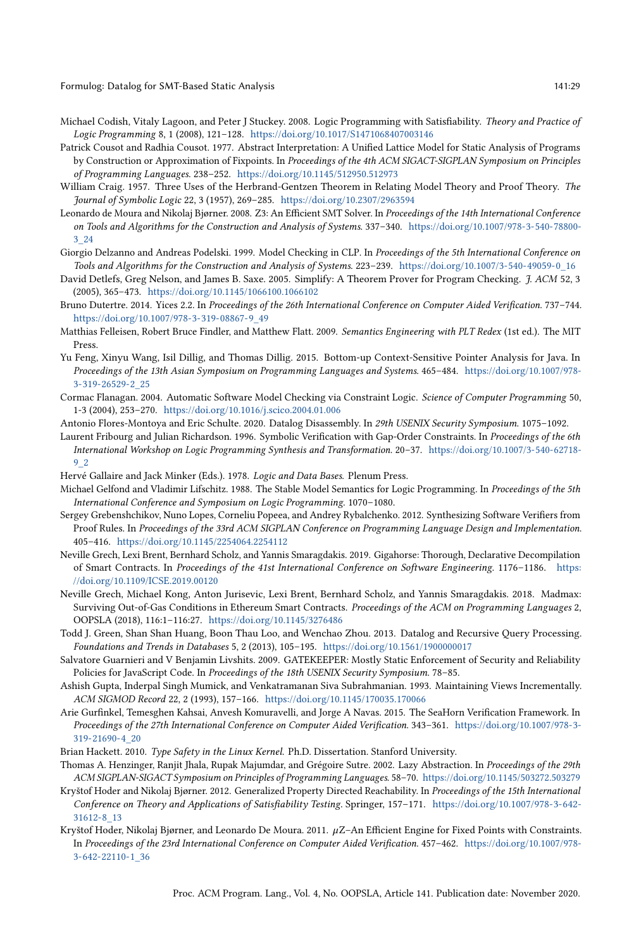- <span id="page-28-22"></span>Michael Codish, Vitaly Lagoon, and Peter J Stuckey. 2008. Logic Programming with Satisfiability. Theory and Practice of Logic Programming 8, 1 (2008), 121-128. <https://doi.org/10.1017/S1471068407003146>
- <span id="page-28-9"></span>Patrick Cousot and Radhia Cousot. 1977. Abstract Interpretation: A Unified Lattice Model for Static Analysis of Programs by Construction or Approximation of Fixpoints. In Proceedings of the 4th ACM SIGACT-SIGPLAN Symposium on Principles of Programming Languages. 238-252. <https://doi.org/10.1145/512950.512973>
- <span id="page-28-14"></span>William Craig. 1957. Three Uses of the Herbrand-Gentzen Theorem in Relating Model Theory and Proof Theory. The Journal of Symbolic Logic 22, 3 (1957), 269-285. <https://doi.org/10.2307/2963594>
- <span id="page-28-7"></span>Leonardo de Moura and Nikolaj Bjørner. 2008. Z3: An Efficient SMT Solver. In Proceedings of the 14th International Conference on Tools and Algorithms for the Construction and Analysis of Systems. 337-340. [https://doi.org/10.1007/978-3-540-78800-](https://doi.org/10.1007/978-3-540-78800-3_24) [3\\_24](https://doi.org/10.1007/978-3-540-78800-3_24)
- <span id="page-28-18"></span>Giorgio Delzanno and Andreas Podelski. 1999. Model Checking in CLP. In Proceedings of the 5th International Conference on Tools and Algorithms for the Construction and Analysis of Systems. 223–239. [https://doi.org/10.1007/3-540-49059-0\\_16](https://doi.org/10.1007/3-540-49059-0_16)
- <span id="page-28-8"></span>David Detlefs, Greg Nelson, and James B. Saxe. 2005. Simplify: A Theorem Prover for Program Checking. J. ACM 52, 3 (2005), 365-473. <https://doi.org/10.1145/1066100.1066102>
- <span id="page-28-16"></span>Bruno Dutertre. 2014. Yices 2.2. In Proceedings of the 26th International Conference on Computer Aided Verification. 737-744. [https://doi.org/10.1007/978-3-319-08867-9\\_49](https://doi.org/10.1007/978-3-319-08867-9_49)
- <span id="page-28-24"></span>Matthias Felleisen, Robert Bruce Findler, and Matthew Flatt. 2009. Semantics Engineering with PLT Redex (1st ed.). The MIT Press.
- <span id="page-28-4"></span>Yu Feng, Xinyu Wang, Isil Dillig, and Thomas Dillig. 2015. Bottom-up Context-Sensitive Pointer Analysis for Java. In Proceedings of the 13th Asian Symposium on Programming Languages and Systems. 465-484. [https://doi.org/10.1007/978-](https://doi.org/10.1007/978-3-319-26529-2_25) [3-319-26529-2\\_25](https://doi.org/10.1007/978-3-319-26529-2_25)
- <span id="page-28-19"></span>Cormac Flanagan. 2004. Automatic Software Model Checking via Constraint Logic. Science of Computer Programming 50, 1-3 (2004), 253-270. <https://doi.org/10.1016/j.scico.2004.01.006>
- <span id="page-28-0"></span>Antonio Flores-Montoya and Eric Schulte. 2020. Datalog Disassembly. In 29th USENIX Security Symposium. 1075-1092.
- <span id="page-28-20"></span>Laurent Fribourg and Julian Richardson. 1996. Symbolic Verification with Gap-Order Constraints. In Proceedings of the 6th International Workshop on Logic Programming Synthesis and Transformation. 20-37. [https://doi.org/10.1007/3-540-62718-](https://doi.org/10.1007/3-540-62718-9_2) [9\\_2](https://doi.org/10.1007/3-540-62718-9_2)
- <span id="page-28-5"></span>Hervé Gallaire and Jack Minker (Eds.). 1978. Logic and Data Bases. Plenum Press.
- <span id="page-28-23"></span>Michael Gelfond and Vladimir Lifschitz. 1988. The Stable Model Semantics for Logic Programming. In Proceedings of the 5th International Conference and Symposium on Logic Programming. 1070-1080.
- <span id="page-28-11"></span>Sergey Grebenshchikov, Nuno Lopes, Corneliu Popeea, and Andrey Rybalchenko. 2012. Synthesizing Software Verifiers from Proof Rules. In Proceedings of the 33rd ACM SIGPLAN Conference on Programming Language Design and Implementation. 405-416. <https://doi.org/10.1145/2254064.2254112>
- <span id="page-28-1"></span>Neville Grech, Lexi Brent, Bernhard Scholz, and Yannis Smaragdakis. 2019. Gigahorse: Thorough, Declarative Decompilation of Smart Contracts. In Proceedings of the 41st International Conference on Software Engineering. 1176-1186. [https:](https://doi.org/10.1109/ICSE.2019.00120) [//doi.org/10.1109/ICSE.2019.00120](https://doi.org/10.1109/ICSE.2019.00120)
- <span id="page-28-2"></span>Neville Grech, Michael Kong, Anton Jurisevic, Lexi Brent, Bernhard Scholz, and Yannis Smaragdakis. 2018. Madmax: Surviving Out-of-Gas Conditions in Ethereum Smart Contracts. Proceedings of the ACM on Programming Languages 2, OOPSLA (2018), 116:1-116:27. <https://doi.org/10.1145/3276486>
- <span id="page-28-6"></span>Todd J. Green, Shan Shan Huang, Boon Thau Loo, and Wenchao Zhou. 2013. Datalog and Recursive Query Processing. Foundations and Trends in Databases 5, 2 (2013), 105-195. <https://doi.org/10.1561/1900000017>
- <span id="page-28-3"></span>Salvatore Guarnieri and V Benjamin Livshits. 2009. GATEKEEPER: Mostly Static Enforcement of Security and Reliability Policies for JavaScript Code. In Proceedings of the 18th USENIX Security Symposium. 78-85.
- <span id="page-28-17"></span>Ashish Gupta, Inderpal Singh Mumick, and Venkatramanan Siva Subrahmanian. 1993. Maintaining Views Incrementally. ACM SIGMOD Record 22, 2 (1993), 157-166. <https://doi.org/10.1145/170035.170066>
- <span id="page-28-12"></span>Arie Gurfinkel, Temesghen Kahsai, Anvesh Komuravelli, and Jorge A Navas. 2015. The SeaHorn Verification Framework. In Proceedings of the 27th International Conference on Computer Aided Verification. 343-361. [https://doi.org/10.1007/978-3-](https://doi.org/10.1007/978-3-319-21690-4_20) [319-21690-4\\_20](https://doi.org/10.1007/978-3-319-21690-4_20)
- <span id="page-28-15"></span>Brian Hackett. 2010. Type Safety in the Linux Kernel. Ph.D. Dissertation. Stanford University.
- <span id="page-28-10"></span>Thomas A. Henzinger, Ranjit Jhala, Rupak Majumdar, and Grégoire Sutre. 2002. Lazy Abstraction. In Proceedings of the 29th ACM SIGPLAN-SIGACT Symposium on Principles of Programming Languages. 58-70. <https://doi.org/10.1145/503272.503279>
- <span id="page-28-13"></span>Kryštof Hoder and Nikolaj Bjørner. 2012. Generalized Property Directed Reachability. In Proceedings of the 15th International Conference on Theory and Applications of Satisfiability Testing. Springer, 157-171. [https://doi.org/10.1007/978-3-642-](https://doi.org/10.1007/978-3-642-31612-8_13) [31612-8\\_13](https://doi.org/10.1007/978-3-642-31612-8_13)
- <span id="page-28-21"></span>Kryštof Hoder, Nikolaj Bjørner, and Leonardo De Moura. 2011.  $\mu$ Z-An Efficient Engine for Fixed Points with Constraints. In Proceedings of the 23rd International Conference on Computer Aided Verification. 457-462. [https://doi.org/10.1007/978-](https://doi.org/10.1007/978-3-642-22110-1_36) [3-642-22110-1\\_36](https://doi.org/10.1007/978-3-642-22110-1_36)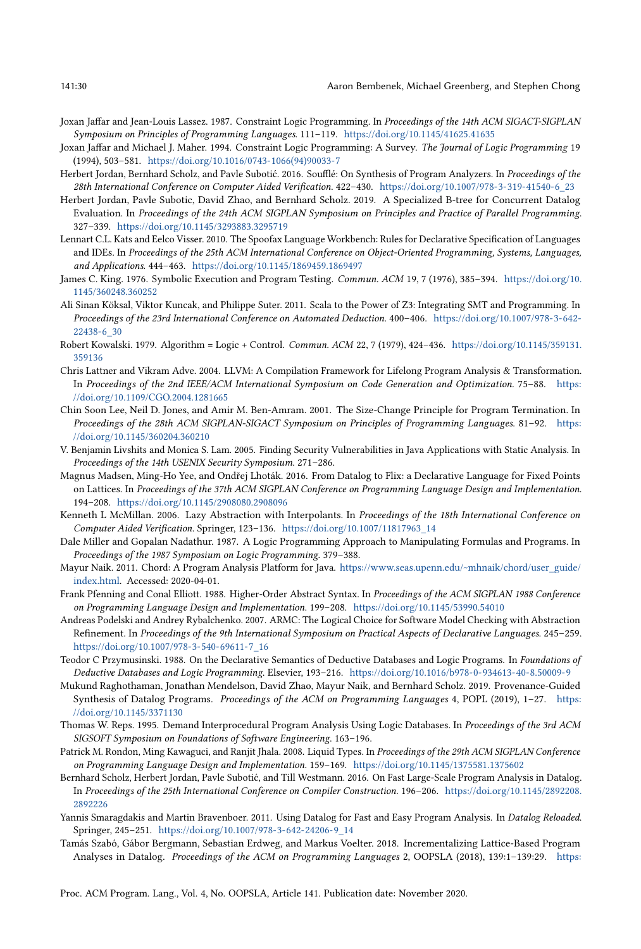- <span id="page-29-15"></span>Joxan Jaffar and Jean-Louis Lassez. 1987. Constraint Logic Programming. In Proceedings of the 14th ACM SIGACT-SIGPLAN Symposium on Principles of Programming Languages. 111-119. <https://doi.org/10.1145/41625.41635>
- <span id="page-29-16"></span>Joxan Jaffar and Michael J. Maher. 1994. Constraint Logic Programming: A Survey. The Journal of Logic Programming 19 (1994), 503-581. [https://doi.org/10.1016/0743-1066\(94\)90033-7](https://doi.org/10.1016/0743-1066(94)90033-7)
- <span id="page-29-2"></span>Herbert Jordan, Bernhard Scholz, and Pavle Subotić. 2016. Soufflé: On Synthesis of Program Analyzers. In Proceedings of the 28th International Conference on Computer Aided Verification. 422-430. [https://doi.org/10.1007/978-3-319-41540-6\\_23](https://doi.org/10.1007/978-3-319-41540-6_23)
- <span id="page-29-17"></span>Herbert Jordan, Pavle Subotic, David Zhao, and Bernhard Scholz. 2019. A Specialized B-tree for Concurrent Datalog Evaluation. In Proceedings of the 24th ACM SIGPLAN Symposium on Principles and Practice of Parallel Programming. 327-339. <https://doi.org/10.1145/3293883.3295719>
- <span id="page-29-22"></span>Lennart C.L. Kats and Eelco Visser. 2010. The Spoofax Language Workbench: Rules for Declarative Specification of Languages and IDEs. In Proceedings of the 25th ACM International Conference on Object-Oriented Programming, Systems, Languages, and Applications. 444-463. <https://doi.org/10.1145/1869459.1869497>
- <span id="page-29-11"></span>James C. King. 1976. Symbolic Execution and Program Testing. Commun. ACM 19, 7 (1976), 385-394. [https://doi.org/10.](https://doi.org/10.1145/360248.360252) [1145/360248.360252](https://doi.org/10.1145/360248.360252)
- <span id="page-29-23"></span>Ali Sinan Köksal, Viktor Kuncak, and Philippe Suter. 2011. Scala to the Power of Z3: Integrating SMT and Programming. In Proceedings of the 23rd International Conference on Automated Deduction. 400-406. [https://doi.org/10.1007/978-3-642-](https://doi.org/10.1007/978-3-642-22438-6_30) [22438-6\\_30](https://doi.org/10.1007/978-3-642-22438-6_30)
- <span id="page-29-4"></span>Robert Kowalski. 1979. Algorithm = Logic + Control. Commun. ACM 22, 7 (1979), 424-436. [https://doi.org/10.1145/359131.](https://doi.org/10.1145/359131.359136) [359136](https://doi.org/10.1145/359131.359136)
- <span id="page-29-14"></span>Chris Lattner and Vikram Adve. 2004. LLVM: A Compilation Framework for Lifelong Program Analysis & Transformation. In Proceedings of the 2nd IEEE/ACM International Symposium on Code Generation and Optimization. 75-88. [https:](https://doi.org/10.1109/CGO.2004.1281665) [//doi.org/10.1109/CGO.2004.1281665](https://doi.org/10.1109/CGO.2004.1281665)
- <span id="page-29-12"></span>Chin Soon Lee, Neil D. Jones, and Amir M. Ben-Amram. 2001. The Size-Change Principle for Program Termination. In Proceedings of the 28th ACM SIGPLAN-SIGACT Symposium on Principles of Programming Languages. 81-92. [https:](https://doi.org/10.1145/360204.360210) [//doi.org/10.1145/360204.360210](https://doi.org/10.1145/360204.360210)
- <span id="page-29-3"></span>V. Benjamin Livshits and Monica S. Lam. 2005. Finding Security Vulnerabilities in Java Applications with Static Analysis. In Proceedings of the 14th USENIX Security Symposium. 271-286.
- <span id="page-29-9"></span>Magnus Madsen, Ming-Ho Yee, and Ondřej Lhoták. 2016. From Datalog to Flix: a Declarative Language for Fixed Points on Lattices. In Proceedings of the 37th ACM SIGPLAN Conference on Programming Language Design and Implementation. 194-208. <https://doi.org/10.1145/2908080.2908096>
- <span id="page-29-1"></span>Kenneth L McMillan. 2006. Lazy Abstraction with Interpolants. In Proceedings of the 18th International Conference on Computer Aided Verification. Springer, 123-136. [https://doi.org/10.1007/11817963\\_14](https://doi.org/10.1007/11817963_14)
- <span id="page-29-20"></span>Dale Miller and Gopalan Nadathur. 1987. A Logic Programming Approach to Manipulating Formulas and Programs. In Proceedings of the 1987 Symposium on Logic Programming. 379-388.
- <span id="page-29-13"></span>Mayur Naik. 2011. Chord: A Program Analysis Platform for Java. [https://www.seas.upenn.edu/~mhnaik/chord/user\\_guide/](https://www.seas.upenn.edu/~mhnaik/chord/user_guide/index.html) [index.html.](https://www.seas.upenn.edu/~mhnaik/chord/user_guide/index.html) Accessed: 2020-04-01.
- <span id="page-29-21"></span>Frank Pfenning and Conal Elliott. 1988. Higher-Order Abstract Syntax. In Proceedings of the ACM SIGPLAN 1988 Conference on Programming Language Design and Implementation. 199-208. <https://doi.org/10.1145/53990.54010>
- <span id="page-29-19"></span>Andreas Podelski and Andrey Rybalchenko. 2007. ARMC: The Logical Choice for Software Model Checking with Abstraction Refinement. In Proceedings of the 9th International Symposium on Practical Aspects of Declarative Languages. 245-259. [https://doi.org/10.1007/978-3-540-69611-7\\_16](https://doi.org/10.1007/978-3-540-69611-7_16)
- <span id="page-29-8"></span>Teodor C Przymusinski. 1988. On the Declarative Semantics of Deductive Databases and Logic Programs. In Foundations of Deductive Databases and Logic Programming. Elsevier, 193-216. <https://doi.org/10.1016/b978-0-934613-40-8.50009-9>
- <span id="page-29-18"></span>Mukund Raghothaman, Jonathan Mendelson, David Zhao, Mayur Naik, and Bernhard Scholz. 2019. Provenance-Guided Synthesis of Datalog Programs. Proceedings of the ACM on Programming Languages 4, POPL (2019), 1-27. [https:](https://doi.org/10.1145/3371130) [//doi.org/10.1145/3371130](https://doi.org/10.1145/3371130)
- <span id="page-29-7"></span>Thomas W. Reps. 1995. Demand Interprocedural Program Analysis Using Logic Databases. In Proceedings of the 3rd ACM SIGSOFT Symposium on Foundations of Software Engineering. 163-196.
- <span id="page-29-0"></span>Patrick M. Rondon, Ming Kawaguci, and Ranjit Jhala. 2008. Liquid Types. In Proceedings of the 29th ACM SIGPLAN Conference on Programming Language Design and Implementation. 159-169. <https://doi.org/10.1145/1375581.1375602>
- <span id="page-29-6"></span>Bernhard Scholz, Herbert Jordan, Pavle Subotić, and Till Westmann. 2016. On Fast Large-Scale Program Analysis in Datalog. In Proceedings of the 25th International Conference on Compiler Construction. 196-206. [https://doi.org/10.1145/2892208.](https://doi.org/10.1145/2892208.2892226) [2892226](https://doi.org/10.1145/2892208.2892226)
- <span id="page-29-5"></span>Yannis Smaragdakis and Martin Bravenboer. 2011. Using Datalog for Fast and Easy Program Analysis. In Datalog Reloaded. Springer, 245-251. [https://doi.org/10.1007/978-3-642-24206-9\\_14](https://doi.org/10.1007/978-3-642-24206-9_14)
- <span id="page-29-10"></span>Tamás Szabó, Gábor Bergmann, Sebastian Erdweg, and Markus Voelter. 2018. Incrementalizing Lattice-Based Program Analyses in Datalog. Proceedings of the ACM on Programming Languages 2, OOPSLA (2018), 139:1-139:29. [https:](https://doi.org/10.1145/3276509)

[Proc. ACM Program. Lang., Vol. 4, No. OOPSLA, Article 141. Publication date: November 2020.](https://doi.org/10.1145/3276509)